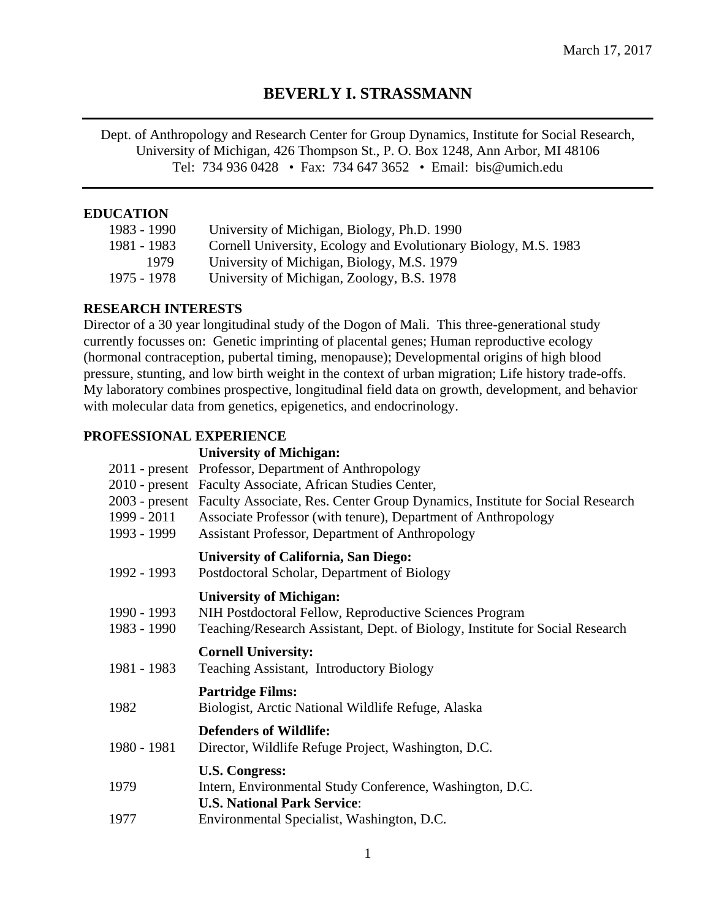# **BEVERLY I. STRASSMANN**

Dept. of Anthropology and Research Center for Group Dynamics, Institute for Social Research, University of Michigan, 426 Thompson St., P. O. Box 1248, Ann Arbor, MI 48106 Tel: 734 936 0428 • Fax: 734 647 3652 • Email: bis@umich.edu

## **EDUCATION**

| University of Michigan, Biology, Ph.D. 1990                     |
|-----------------------------------------------------------------|
| Cornell University, Ecology and Evolutionary Biology, M.S. 1983 |
| University of Michigan, Biology, M.S. 1979                      |
| University of Michigan, Zoology, B.S. 1978                      |
|                                                                 |

## **RESEARCH INTERESTS**

Director of a 30 year longitudinal study of the Dogon of Mali. This three-generational study currently focusses on: Genetic imprinting of placental genes; Human reproductive ecology (hormonal contraception, pubertal timing, menopause); Developmental origins of high blood pressure, stunting, and low birth weight in the context of urban migration; Life history trade-offs. My laboratory combines prospective, longitudinal field data on growth, development, and behavior with molecular data from genetics, epigenetics, and endocrinology.

# **PROFESSIONAL EXPERIENCE**

## **University of Michigan:**

| 1999 - 2011<br>1993 - 1999 | 2011 - present Professor, Department of Anthropology<br>2010 - present Faculty Associate, African Studies Center,<br>2003 - present Faculty Associate, Res. Center Group Dynamics, Institute for Social Research<br>Associate Professor (with tenure), Department of Anthropology<br><b>Assistant Professor, Department of Anthropology</b> |
|----------------------------|---------------------------------------------------------------------------------------------------------------------------------------------------------------------------------------------------------------------------------------------------------------------------------------------------------------------------------------------|
| 1992 - 1993                | <b>University of California, San Diego:</b><br>Postdoctoral Scholar, Department of Biology                                                                                                                                                                                                                                                  |
| 1990 - 1993<br>1983 - 1990 | <b>University of Michigan:</b><br>NIH Postdoctoral Fellow, Reproductive Sciences Program<br>Teaching/Research Assistant, Dept. of Biology, Institute for Social Research                                                                                                                                                                    |
| 1981 - 1983                | <b>Cornell University:</b><br><b>Teaching Assistant, Introductory Biology</b>                                                                                                                                                                                                                                                               |
| 1982                       | <b>Partridge Films:</b><br>Biologist, Arctic National Wildlife Refuge, Alaska                                                                                                                                                                                                                                                               |
| 1980 - 1981                | <b>Defenders of Wildlife:</b><br>Director, Wildlife Refuge Project, Washington, D.C.                                                                                                                                                                                                                                                        |
| 1979                       | <b>U.S. Congress:</b><br>Intern, Environmental Study Conference, Washington, D.C.<br><b>U.S. National Park Service:</b>                                                                                                                                                                                                                     |
| 1977                       | Environmental Specialist, Washington, D.C.                                                                                                                                                                                                                                                                                                  |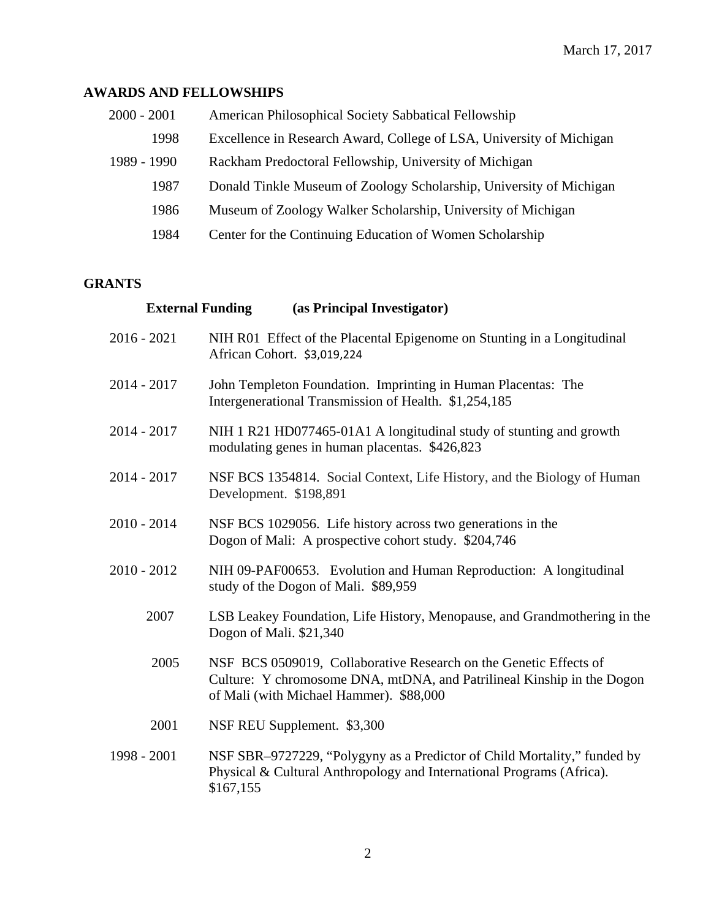# **AWARDS AND FELLOWSHIPS**

| $2000 - 2001$ | American Philosophical Society Sabbatical Fellowship                 |  |
|---------------|----------------------------------------------------------------------|--|
| 1998          | Excellence in Research Award, College of LSA, University of Michigan |  |
| 1989 - 1990   | Rackham Predoctoral Fellowship, University of Michigan               |  |
| 1987          | Donald Tinkle Museum of Zoology Scholarship, University of Michigan  |  |
| 1986          | Museum of Zoology Walker Scholarship, University of Michigan         |  |
| 1984          | Center for the Continuing Education of Women Scholarship             |  |

# **GRANTS**

|             | <b>External Funding</b> | (as Principal Investigator)                                                                                                                                                            |
|-------------|-------------------------|----------------------------------------------------------------------------------------------------------------------------------------------------------------------------------------|
| 2016 - 2021 |                         | NIH R01 Effect of the Placental Epigenome on Stunting in a Longitudinal<br>African Cohort. \$3,019,224                                                                                 |
|             | 2014 - 2017             | John Templeton Foundation. Imprinting in Human Placentas: The<br>Intergenerational Transmission of Health. \$1,254,185                                                                 |
|             | 2014 - 2017             | NIH 1 R21 HD077465-01A1 A longitudinal study of stunting and growth<br>modulating genes in human placentas. \$426,823                                                                  |
|             | 2014 - 2017             | NSF BCS 1354814. Social Context, Life History, and the Biology of Human<br>Development. \$198,891                                                                                      |
|             | 2010 - 2014             | NSF BCS 1029056. Life history across two generations in the<br>Dogon of Mali: A prospective cohort study. \$204,746                                                                    |
|             | 2010 - 2012             | NIH 09-PAF00653. Evolution and Human Reproduction: A longitudinal<br>study of the Dogon of Mali. \$89,959                                                                              |
|             | 2007                    | LSB Leakey Foundation, Life History, Menopause, and Grandmothering in the<br>Dogon of Mali. \$21,340                                                                                   |
|             | 2005                    | NSF BCS 0509019, Collaborative Research on the Genetic Effects of<br>Culture: Y chromosome DNA, mtDNA, and Patrilineal Kinship in the Dogon<br>of Mali (with Michael Hammer). \$88,000 |
|             | 2001                    | NSF REU Supplement. \$3,300                                                                                                                                                            |
| 1998 - 2001 |                         | NSF SBR-9727229, "Polygyny as a Predictor of Child Mortality," funded by<br>Physical & Cultural Anthropology and International Programs (Africa).<br>\$167,155                         |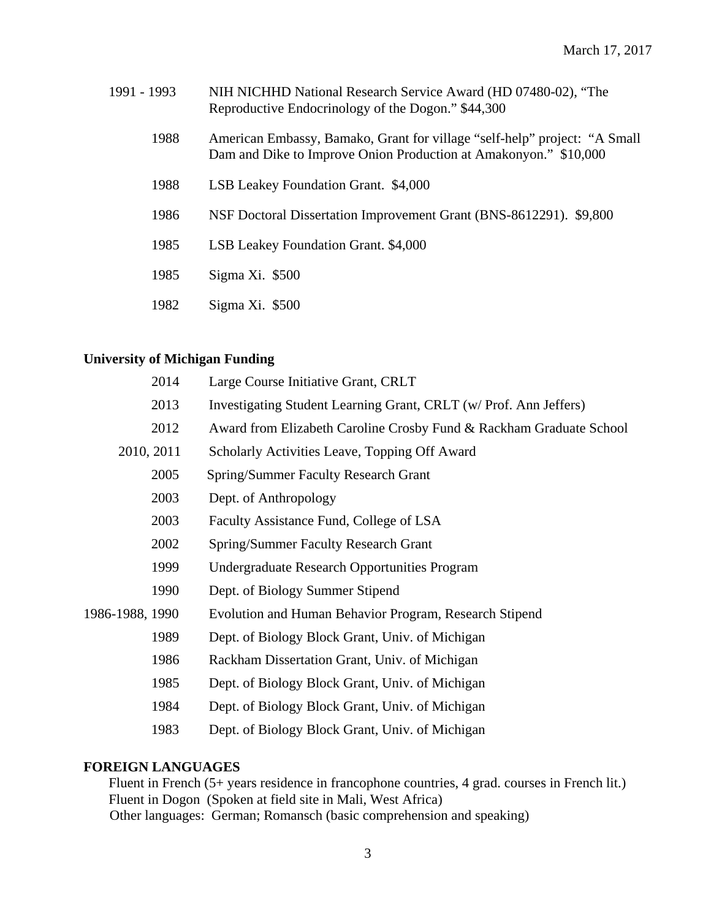| 1991 - 1993 | NIH NICHHD National Research Service Award (HD 07480-02), "The<br>Reproductive Endocrinology of the Dogon." \$44,300                          |  |  |
|-------------|-----------------------------------------------------------------------------------------------------------------------------------------------|--|--|
| 1988        | American Embassy, Bamako, Grant for village "self-help" project: "A Small<br>Dam and Dike to Improve Onion Production at Amakonyon." \$10,000 |  |  |
| 1988        | LSB Leakey Foundation Grant. \$4,000                                                                                                          |  |  |
| 1986        | NSF Doctoral Dissertation Improvement Grant (BNS-8612291). \$9,800                                                                            |  |  |
| 1985        | LSB Leakey Foundation Grant. \$4,000                                                                                                          |  |  |
| 1985        | $Sigma Xi.$ \$500                                                                                                                             |  |  |
| 1982        | $Sigma Xi.$ \$500                                                                                                                             |  |  |

# **University of Michigan Funding**

| 2014            | Large Course Initiative Grant, CRLT                                 |  |  |
|-----------------|---------------------------------------------------------------------|--|--|
| 2013            | Investigating Student Learning Grant, CRLT (w/ Prof. Ann Jeffers)   |  |  |
| 2012            | Award from Elizabeth Caroline Crosby Fund & Rackham Graduate School |  |  |
| 2010, 2011      | Scholarly Activities Leave, Topping Off Award                       |  |  |
| 2005            | <b>Spring/Summer Faculty Research Grant</b>                         |  |  |
| 2003            | Dept. of Anthropology                                               |  |  |
| 2003            | Faculty Assistance Fund, College of LSA                             |  |  |
| 2002            | <b>Spring/Summer Faculty Research Grant</b>                         |  |  |
| 1999            | Undergraduate Research Opportunities Program                        |  |  |
| 1990            | Dept. of Biology Summer Stipend                                     |  |  |
| 1986-1988, 1990 | Evolution and Human Behavior Program, Research Stipend              |  |  |
| 1989            | Dept. of Biology Block Grant, Univ. of Michigan                     |  |  |
| 1986            | Rackham Dissertation Grant, Univ. of Michigan                       |  |  |
| 1985            | Dept. of Biology Block Grant, Univ. of Michigan                     |  |  |
| 1984            | Dept. of Biology Block Grant, Univ. of Michigan                     |  |  |
| 1983            | Dept. of Biology Block Grant, Univ. of Michigan                     |  |  |

## **FOREIGN LANGUAGES**

Fluent in French (5+ years residence in francophone countries, 4 grad. courses in French lit.) Fluent in Dogon (Spoken at field site in Mali, West Africa) Other languages: German; Romansch (basic comprehension and speaking)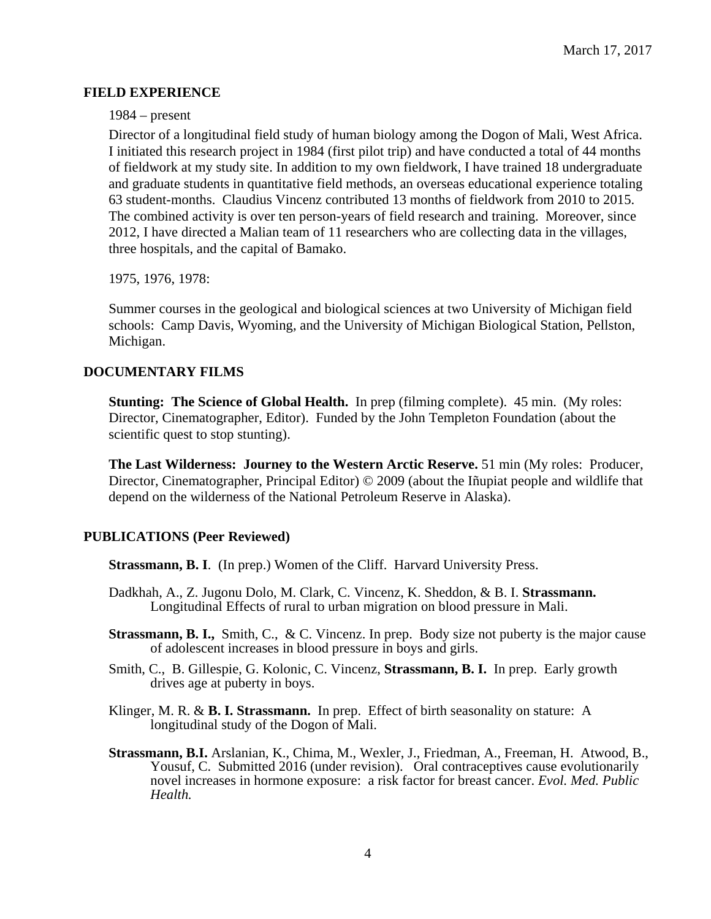#### **FIELD EXPERIENCE**

#### 1984 – present

Director of a longitudinal field study of human biology among the Dogon of Mali, West Africa. I initiated this research project in 1984 (first pilot trip) and have conducted a total of 44 months of fieldwork at my study site. In addition to my own fieldwork, I have trained 18 undergraduate and graduate students in quantitative field methods, an overseas educational experience totaling 63 student-months. Claudius Vincenz contributed 13 months of fieldwork from 2010 to 2015. The combined activity is over ten person-years of field research and training. Moreover, since 2012, I have directed a Malian team of 11 researchers who are collecting data in the villages, three hospitals, and the capital of Bamako.

1975, 1976, 1978:

Summer courses in the geological and biological sciences at two University of Michigan field schools: Camp Davis, Wyoming, and the University of Michigan Biological Station, Pellston, Michigan.

## **DOCUMENTARY FILMS**

**Stunting: The Science of Global Health.** In prep (filming complete). 45 min. (My roles: Director, Cinematographer, Editor). Funded by the John Templeton Foundation (about the scientific quest to stop stunting).

**The Last Wilderness: Journey to the Western Arctic Reserve.** 51 min (My roles: Producer, Director, Cinematographer, Principal Editor) © 2009 (about the Iñupiat people and wildlife that depend on the wilderness of the National Petroleum Reserve in Alaska).

## **PUBLICATIONS (Peer Reviewed)**

**Strassmann, B. I**. (In prep.) Women of the Cliff. Harvard University Press.

- Dadkhah, A., Z. Jugonu Dolo, M. Clark, C. Vincenz, K. Sheddon, & B. I. **Strassmann.**  Longitudinal Effects of rural to urban migration on blood pressure in Mali.
- **Strassmann, B. I.,** Smith, C., & C. Vincenz. In prep. Body size not puberty is the major cause of adolescent increases in blood pressure in boys and girls.
- Smith, C., B. Gillespie, G. Kolonic, C. Vincenz, **Strassmann, B. I.** In prep. Early growth drives age at puberty in boys.
- Klinger, M. R. & **B. I. Strassmann.** In prep. Effect of birth seasonality on stature: A longitudinal study of the Dogon of Mali.
- **Strassmann, B.I.** Arslanian, K., Chima, M., Wexler, J., Friedman, A., Freeman, H. Atwood, B., Yousuf, C. Submitted 2016 (under revision). Oral contraceptives cause evolutionarily novel increases in hormone exposure: a risk factor for breast cancer. *Evol. Med. Public Health.*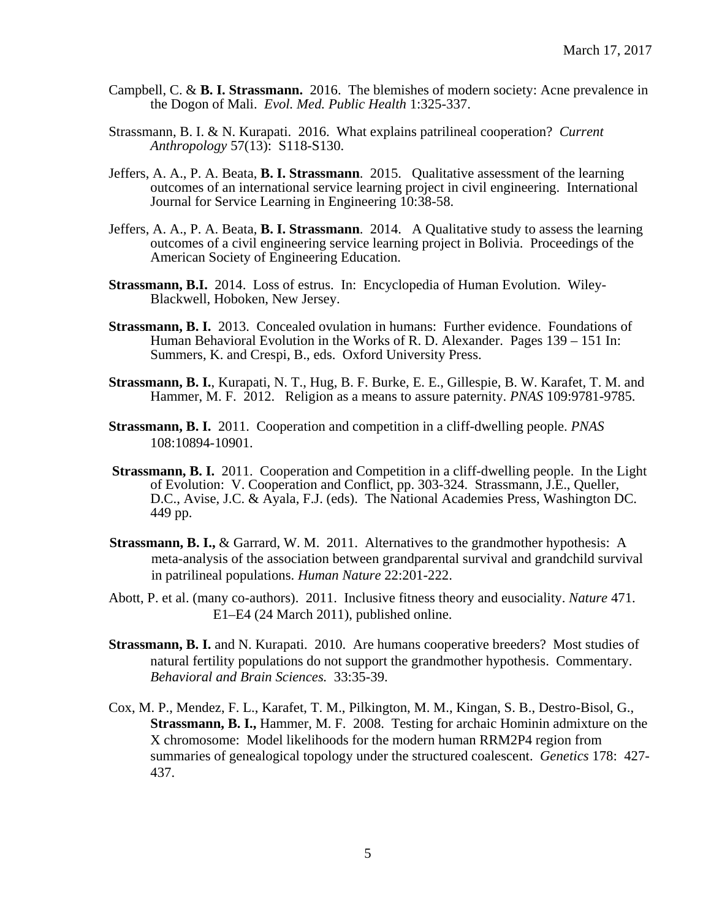- Campbell, C. & **B. I. Strassmann.** 2016.The blemishes of modern society: Acne prevalence in the Dogon of Mali. *Evol. Med. Public Health* 1:325-337.
- Strassmann, B. I. & N. Kurapati. 2016. What explains patrilineal cooperation? *Current Anthropology* 57(13): S118-S130.
- Jeffers, A. A., P. A. Beata, **B. I. Strassmann**. 2015. Qualitative assessment of the learning outcomes of an international service learning project in civil engineering. International Journal for Service Learning in Engineering 10:38-58.
- Jeffers, A. A., P. A. Beata, **B. I. Strassmann**. 2014. A Qualitative study to assess the learning outcomes of a civil engineering service learning project in Bolivia. Proceedings of the American Society of Engineering Education.
- **Strassmann, B.I.** 2014. Loss of estrus. In: Encyclopedia of Human Evolution. Wiley- Blackwell, Hoboken, New Jersey.
- **Strassmann, B. I.** 2013. Concealed ovulation in humans: Further evidence. Foundations of Human Behavioral Evolution in the Works of R. D. Alexander. Pages 139 – 151 In: Summers, K. and Crespi, B., eds. Oxford University Press.
- **Strassmann, B. I.**, Kurapati, N. T., Hug, B. F. Burke, E. E., Gillespie, B. W. Karafet, T. M. and Hammer, M. F. 2012. Religion as a means to assure paternity. *PNAS* 109:9781-9785.
- **Strassmann, B. I.** 2011. Cooperation and competition in a cliff-dwelling people. *PNAS* 108:10894-10901.
- **Strassmann, B. I.** 2011. Cooperation and Competition in a cliff-dwelling people. In the Light of Evolution: V. Cooperation and Conflict, pp. 303-324. Strassmann, J.E., Queller, D.C., Avise, J.C. & Ayala, F.J. (eds). The National Academies Press, Washington DC. 449 pp.
- **Strassmann, B. I., & Garrard, W. M. 2011. Alternatives to the grandmother hypothesis: A** meta-analysis of the association between grandparental survival and grandchild survival in patrilineal populations. *Human Nature* 22:201-222.
- Abott, P. et al. (many co-authors). 2011. Inclusive fitness theory and eusociality. *Nature* 471. E1–E4 (24 March 2011), published online.
- **Strassmann, B. I.** and N. Kurapati. 2010. Are humans cooperative breeders? Most studies of natural fertility populations do not support the grandmother hypothesis. Commentary. *Behavioral and Brain Sciences.* 33:35-39.
- Cox, M. P., Mendez, F. L., Karafet, T. M., Pilkington, M. M., Kingan, S. B., Destro-Bisol, G., **Strassmann, B. I.,** Hammer, M. F. 2008. Testing for archaic Hominin admixture on the X chromosome: Model likelihoods for the modern human RRM2P4 region from summaries of genealogical topology under the structured coalescent. *Genetics* 178: 427- 437.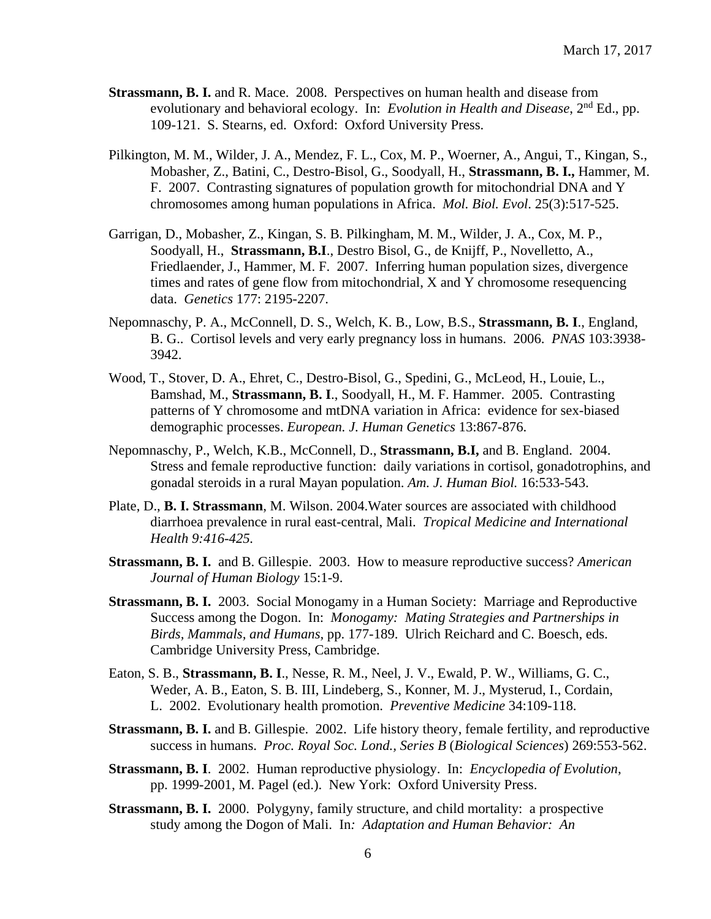- **Strassmann, B. I.** and R. Mace. 2008. Perspectives on human health and disease from evolutionary and behavioral ecology. In: *Evolution in Health and Disease*, 2<sup>nd</sup> Ed., pp. 109-121. S. Stearns, ed. Oxford: Oxford University Press.
- Pilkington, M. M., Wilder, J. A., Mendez, F. L., Cox, M. P., Woerner, A., Angui, T., Kingan, S., Mobasher, Z., Batini, C., Destro-Bisol, G., Soodyall, H., **Strassmann, B. I.,** Hammer, M. F. 2007. Contrasting signatures of population growth for mitochondrial DNA and Y chromosomes among human populations in Africa. *Mol. Biol. Evol*. 25(3):517-525.
- Garrigan, D., Mobasher, Z., Kingan, S. B. Pilkingham, M. M., Wilder, J. A., Cox, M. P., Soodyall, H., **Strassmann, B.I**., Destro Bisol, G., de Knijff, P., Novelletto, A., Friedlaender, J., Hammer, M. F. 2007. Inferring human population sizes, divergence times and rates of gene flow from mitochondrial, X and Y chromosome resequencing data. *Genetics* 177: 2195-2207.
- Nepomnaschy, P. A., McConnell, D. S., Welch, K. B., Low, B.S., **Strassmann, B. I**., England, B. G.. Cortisol levels and very early pregnancy loss in humans. 2006. *PNAS* 103:3938- 3942.
- Wood, T., Stover, D. A., Ehret, C., Destro-Bisol, G., Spedini, G., McLeod, H., Louie, L., Bamshad, M., **Strassmann, B. I**., Soodyall, H., M. F. Hammer. 2005. Contrasting patterns of Y chromosome and mtDNA variation in Africa: evidence for sex-biased demographic processes. *European. J. Human Genetics* 13:867-876.
- Nepomnaschy, P., Welch, K.B., McConnell, D., **Strassmann, B.I,** and B. England. 2004. Stress and female reproductive function: daily variations in cortisol, gonadotrophins, and gonadal steroids in a rural Mayan population. *Am. J. Human Biol.* 16:533-543.
- Plate, D., **B. I. Strassmann**, M. Wilson. 2004.Water sources are associated with childhood diarrhoea prevalence in rural east-central, Mali. *Tropical Medicine and International Health 9:416-425.*
- **Strassmann, B. I.** and B. Gillespie. 2003. How to measure reproductive success? *American Journal of Human Biology* 15:1-9.
- **Strassmann, B. I.** 2003. Social Monogamy in a Human Society: Marriage and Reproductive Success among the Dogon. In: *Monogamy: Mating Strategies and Partnerships in Birds, Mammals, and Humans,* pp. 177-189. Ulrich Reichard and C. Boesch, eds. Cambridge University Press, Cambridge.
- Eaton, S. B., **Strassmann, B. I**., Nesse, R. M., Neel, J. V., Ewald, P. W., Williams, G. C., Weder, A. B., Eaton, S. B. III, Lindeberg, S., Konner, M. J., Mysterud, I., Cordain, L. 2002. Evolutionary health promotion. *Preventive Medicine* 34:109-118.
- **Strassmann, B. I.** and B. Gillespie. 2002. Life history theory, female fertility, and reproductive success in humans. *Proc. Royal Soc. Lond., Series B* (*Biological Sciences*) 269:553-562.
- **Strassmann, B. I**. 2002. Human reproductive physiology. In: *Encyclopedia of Evolution*, pp. 1999-2001, M. Pagel (ed.). New York: Oxford University Press.
- **Strassmann, B. I.** 2000. Polygyny, family structure, and child mortality: a prospective study among the Dogon of Mali. In*: Adaptation and Human Behavior: An*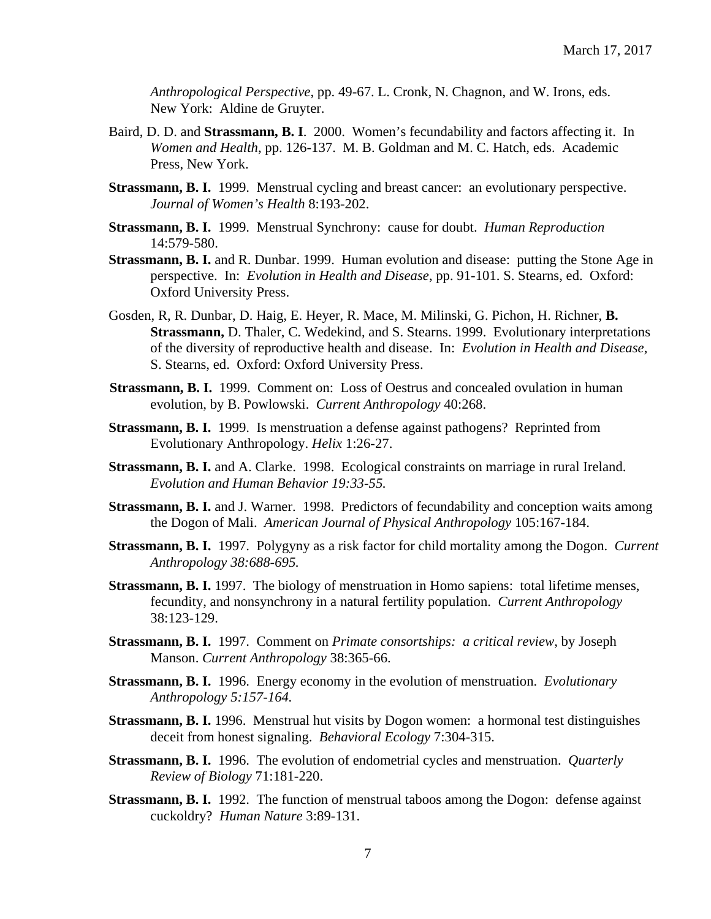*Anthropological Perspective*, pp. 49-67. L. Cronk, N. Chagnon, and W. Irons, eds. New York: Aldine de Gruyter.

- Baird, D. D. and **Strassmann, B. I**. 2000. Women's fecundability and factors affecting it. In *Women and Health*, pp. 126-137. M. B. Goldman and M. C. Hatch, eds. Academic Press, New York.
- **Strassmann, B. I.** 1999. Menstrual cycling and breast cancer: an evolutionary perspective. *Journal of Women's Health* 8:193-202.
- **Strassmann, B. I.** 1999. Menstrual Synchrony: cause for doubt. *Human Reproduction* 14:579-580.
- **Strassmann, B. I.** and R. Dunbar. 1999. Human evolution and disease: putting the Stone Age in perspective. In: *Evolution in Health and Disease*, pp. 91-101. S. Stearns, ed. Oxford: Oxford University Press.
- Gosden, R, R. Dunbar, D. Haig, E. Heyer, R. Mace, M. Milinski, G. Pichon, H. Richner, **B. Strassmann,** D. Thaler, C. Wedekind, and S. Stearns. 1999. Evolutionary interpretations of the diversity of reproductive health and disease. In: *Evolution in Health and Disease*, S. Stearns, ed. Oxford: Oxford University Press.
- **Strassmann, B. I.** 1999. Comment on: Loss of Oestrus and concealed ovulation in human evolution, by B. Powlowski. *Current Anthropology* 40:268.
- **Strassmann, B. I.** 1999.Is menstruation a defense against pathogens? Reprinted from Evolutionary Anthropology. *Helix* 1:26-27.
- **Strassmann, B. I.** and A. Clarke. 1998. Ecological constraints on marriage in rural Ireland. *Evolution and Human Behavior 19:33-55.*
- **Strassmann, B. I.** and J. Warner. 1998. Predictors of fecundability and conception waits among the Dogon of Mali. *American Journal of Physical Anthropology* 105:167-184.
- **Strassmann, B. I.** 1997. Polygyny as a risk factor for child mortality among the Dogon. *Current Anthropology 38:688-695.*
- **Strassmann, B. I.** 1997. The biology of menstruation in Homo sapiens: total lifetime menses, fecundity, and nonsynchrony in a natural fertility population. *Current Anthropology* 38:123-129.
- **Strassmann, B. I.** 1997. Comment on *Primate consortships: a critical review*, by Joseph Manson. *Current Anthropology* 38:365-66.
- **Strassmann, B. I.** 1996. Energy economy in the evolution of menstruation. *Evolutionary Anthropology 5:157-164.*
- **Strassmann, B. I.** 1996. Menstrual hut visits by Dogon women: a hormonal test distinguishes deceit from honest signaling. *Behavioral Ecology* 7:304-315.
- **Strassmann, B. I.** 1996. The evolution of endometrial cycles and menstruation. *Quarterly Review of Biology* 71:181-220.
- **Strassmann, B. I.** 1992. The function of menstrual taboos among the Dogon: defense against cuckoldry? *Human Nature* 3:89-131.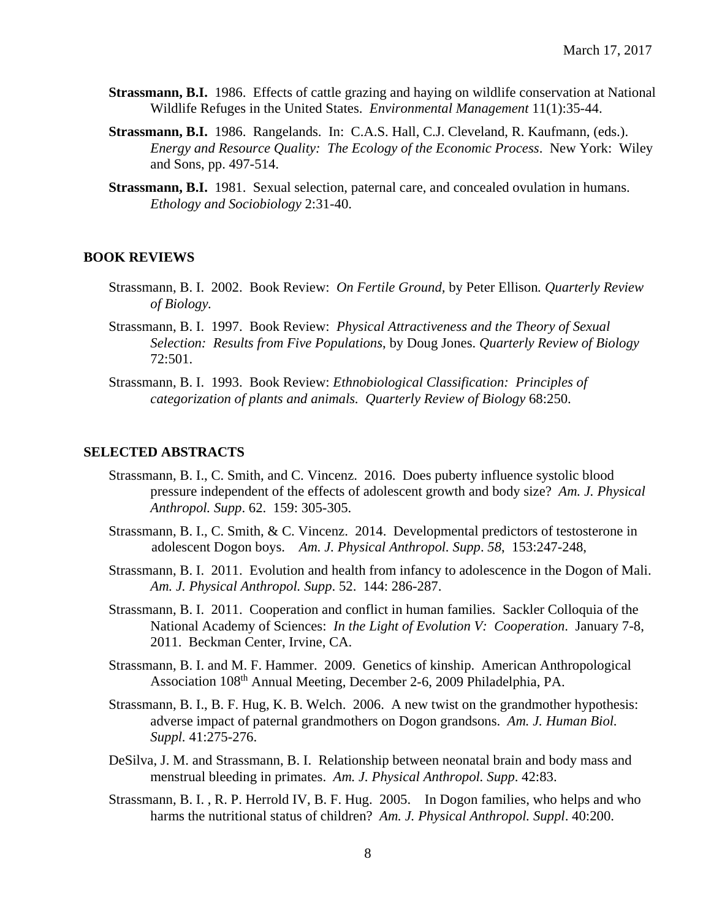- **Strassmann, B.I.** 1986. Effects of cattle grazing and haying on wildlife conservation at National Wildlife Refuges in the United States. *Environmental Management* 11(1):35-44.
- **Strassmann, B.I.** 1986. Rangelands. In: C.A.S. Hall, C.J. Cleveland, R. Kaufmann, (eds.). *Energy and Resource Quality: The Ecology of the Economic Process*. New York: Wiley and Sons, pp. 497-514.
- **Strassmann, B.I.** 1981. Sexual selection, paternal care, and concealed ovulation in humans. *Ethology and Sociobiology* 2:31-40.

#### **BOOK REVIEWS**

- Strassmann, B. I. 2002. Book Review: *On Fertile Ground,* by Peter Ellison*. Quarterly Review of Biology.*
- Strassmann, B. I. 1997. Book Review: *Physical Attractiveness and the Theory of Sexual Selection: Results from Five Populations*, by Doug Jones. *Quarterly Review of Biology* 72:501.
- Strassmann, B. I. 1993. Book Review: *Ethnobiological Classification: Principles of categorization of plants and animals. Quarterly Review of Biology* 68:250.

#### **SELECTED ABSTRACTS**

- Strassmann, B. I., C. Smith, and C. Vincenz. 2016. Does puberty influence systolic blood pressure independent of the effects of adolescent growth and body size? *Am. J. Physical Anthropol. Supp*. 62. 159: 305-305.
- Strassmann, B. I., C. Smith, & C. Vincenz. 2014. Developmental predictors of testosterone in adolescent Dogon boys. *Am. J. Physical Anthropol. Supp*. *58*, 153:247-248,
- Strassmann, B. I. 2011. Evolution and health from infancy to adolescence in the Dogon of Mali. *Am. J. Physical Anthropol. Supp*. 52. 144: 286-287.
- Strassmann, B. I. 2011. Cooperation and conflict in human families. Sackler Colloquia of the National Academy of Sciences: *In the Light of Evolution V: Cooperation*. January 7-8, 2011. Beckman Center, Irvine, CA.
- Strassmann, B. I. and M. F. Hammer. 2009. Genetics of kinship. American Anthropological Association 108th Annual Meeting, December 2-6, 2009 Philadelphia, PA.
- Strassmann, B. I., B. F. Hug, K. B. Welch. 2006. A new twist on the grandmother hypothesis: adverse impact of paternal grandmothers on Dogon grandsons. *Am. J. Human Biol. Suppl.* 41:275-276.
- DeSilva, J. M. and Strassmann, B. I. Relationship between neonatal brain and body mass and menstrual bleeding in primates. *Am. J. Physical Anthropol. Supp*. 42:83.
- Strassmann, B. I. , R. P. Herrold IV, B. F. Hug. 2005. In Dogon families, who helps and who harms the nutritional status of children? *Am. J. Physical Anthropol. Suppl*. 40:200.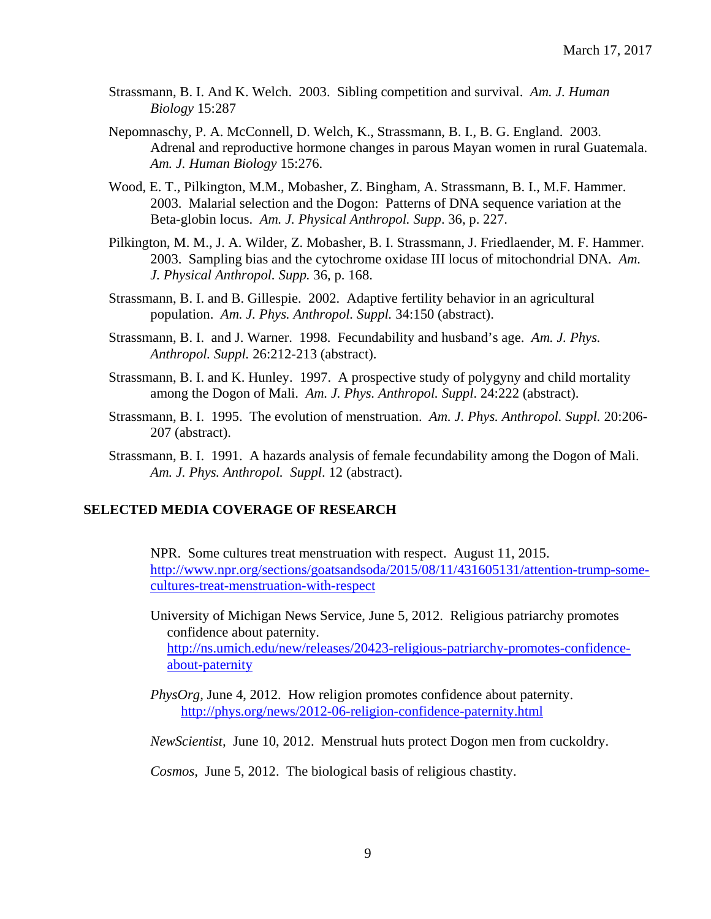- Strassmann, B. I. And K. Welch. 2003. Sibling competition and survival. *Am. J. Human Biology* 15:287
- Nepomnaschy, P. A. McConnell, D. Welch, K., Strassmann, B. I., B. G. England. 2003. Adrenal and reproductive hormone changes in parous Mayan women in rural Guatemala. *Am. J. Human Biology* 15:276.
- Wood, E. T., Pilkington, M.M., Mobasher, Z. Bingham, A. Strassmann, B. I., M.F. Hammer. 2003. Malarial selection and the Dogon: Patterns of DNA sequence variation at the Beta-globin locus. *Am. J. Physical Anthropol. Supp*. 36, p. 227.
- Pilkington, M. M., J. A. Wilder, Z. Mobasher, B. I. Strassmann, J. Friedlaender, M. F. Hammer. 2003.Sampling bias and the cytochrome oxidase III locus of mitochondrial DNA*. Am. J. Physical Anthropol. Supp.* 36, p. 168.
- Strassmann, B. I. and B. Gillespie. 2002. Adaptive fertility behavior in an agricultural population. *Am. J. Phys. Anthropol. Suppl.* 34:150 (abstract).
- Strassmann, B. I. and J. Warner. 1998. Fecundability and husband's age. *Am. J. Phys. Anthropol. Suppl.* 26:212-213 (abstract).
- Strassmann, B. I. and K. Hunley. 1997. A prospective study of polygyny and child mortality among the Dogon of Mali. *Am. J. Phys. Anthropol. Suppl*. 24:222 (abstract).
- Strassmann, B. I. 1995. The evolution of menstruation. *Am. J. Phys. Anthropol. Suppl.* 20:206- 207 (abstract).
- Strassmann, B. I. 1991. A hazards analysis of female fecundability among the Dogon of Mali. *Am. J. Phys. Anthropol. Suppl*. 12 (abstract).

## **SELECTED MEDIA COVERAGE OF RESEARCH**

NPR. Some cultures treat menstruation with respect. August 11, 2015. [http://www.npr.org/sections/goatsandsoda/2015/08/11/431605131/attention-trump-some](http://www.npr.org/sections/goatsandsoda/2015/08/11/431605131/attention-trump-some-cultures-treat-menstruation-with-respect)[cultures-treat-menstruation-with-respect](http://www.npr.org/sections/goatsandsoda/2015/08/11/431605131/attention-trump-some-cultures-treat-menstruation-with-respect)

University of Michigan News Service, June 5, 2012. Religious patriarchy promotes confidence about paternity. [http://ns.umich.edu/new/releases/20423-religious-patriarchy-promotes-confidence](http://ns.umich.edu/new/releases/20423-religious-patriarchy-promotes-confidence-about-paternity)[about-paternity](http://ns.umich.edu/new/releases/20423-religious-patriarchy-promotes-confidence-about-paternity)

*PhysOrg,* June 4, 2012. How religion promotes confidence about paternity. <http://phys.org/news/2012-06-religion-confidence-paternity.html>

*NewScientist,* June 10, 2012. Menstrual huts protect Dogon men from cuckoldry.

*Cosmos,* June 5, 2012. The biological basis of religious chastity.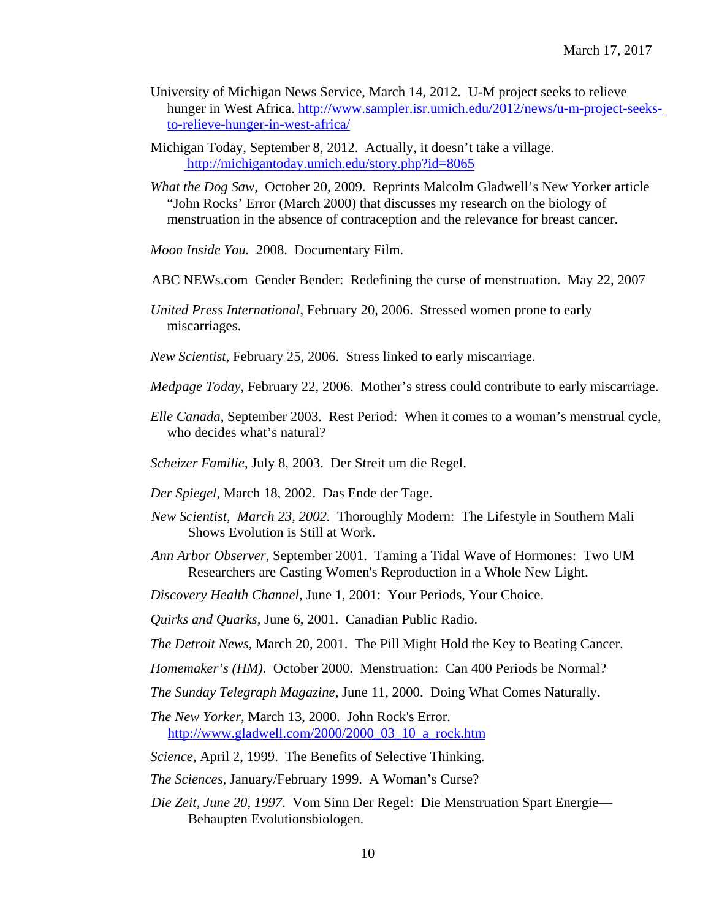- University of Michigan News Service, March 14, 2012. U-M project seeks to relieve hunger in West Africa. [http://www.sampler.isr.umich.edu/2012/news/u-m-project-seeks](http://www.sampler.isr.umich.edu/2012/news/u-m-project-seeks-to-relieve-hunger-in-west-africa/)[to-relieve-hunger-in-west-africa/](http://www.sampler.isr.umich.edu/2012/news/u-m-project-seeks-to-relieve-hunger-in-west-africa/)
- Michigan Today, September 8, 2012. Actually, it doesn't take a village. <http://michigantoday.umich.edu/story.php?id=8065>
- *What the Dog Saw,* October 20, 2009. Reprints Malcolm Gladwell's New Yorker article "John Rocks' Error (March 2000) that discusses my research on the biology of menstruation in the absence of contraception and the relevance for breast cancer.
- *Moon Inside You.* 2008. Documentary Film.
- ABC NEWs.com Gender Bender: Redefining the curse of menstruation. May 22, 2007
- *United Press International*, February 20, 2006. Stressed women prone to early miscarriages.

*New Scientist*, February 25, 2006. Stress linked to early miscarriage.

*Medpage Today*, February 22, 2006. Mother's stress could contribute to early miscarriage.

*Elle Canada*, September 2003. Rest Period: When it comes to a woman's menstrual cycle, who decides what's natural?

*Scheizer Familie*, July 8, 2003. Der Streit um die Regel.

- *Der Spiegel*, March 18, 2002. Das Ende der Tage.
- *New Scientist, March 23, 2002.* Thoroughly Modern: The Lifestyle in Southern Mali Shows Evolution is Still at Work.
- *Ann Arbor Observer*, September 2001. Taming a Tidal Wave of Hormones: Two UM Researchers are Casting Women's Reproduction in a Whole New Light.
- *Discovery Health Channel*, June 1, 2001: Your Periods, Your Choice.

*Quirks and Quarks,* June 6, 2001. Canadian Public Radio.

*The Detroit News,* March 20, 2001. The Pill Might Hold the Key to Beating Cancer.

*Homemaker's (HM)*. October 2000. Menstruation: Can 400 Periods be Normal?

- *The Sunday Telegraph Magazine*, June 11, 2000. Doing What Comes Naturally.
- *The New Yorker*, March 13, 2000. John Rock's Error. [http://www.gladwell.com/2000/2000\\_03\\_10\\_a\\_rock.htm](http://www.gladwell.com/2000/2000_03_10_a_rock.htm)
- *Science,* April 2, 1999. The Benefits of Selective Thinking.
- *The Sciences,* January/February 1999. A Woman's Curse?
- *Die Zeit, June 20, 1997*. Vom Sinn Der Regel: Die Menstruation Spart Energie— Behaupten Evolutionsbiologen*.*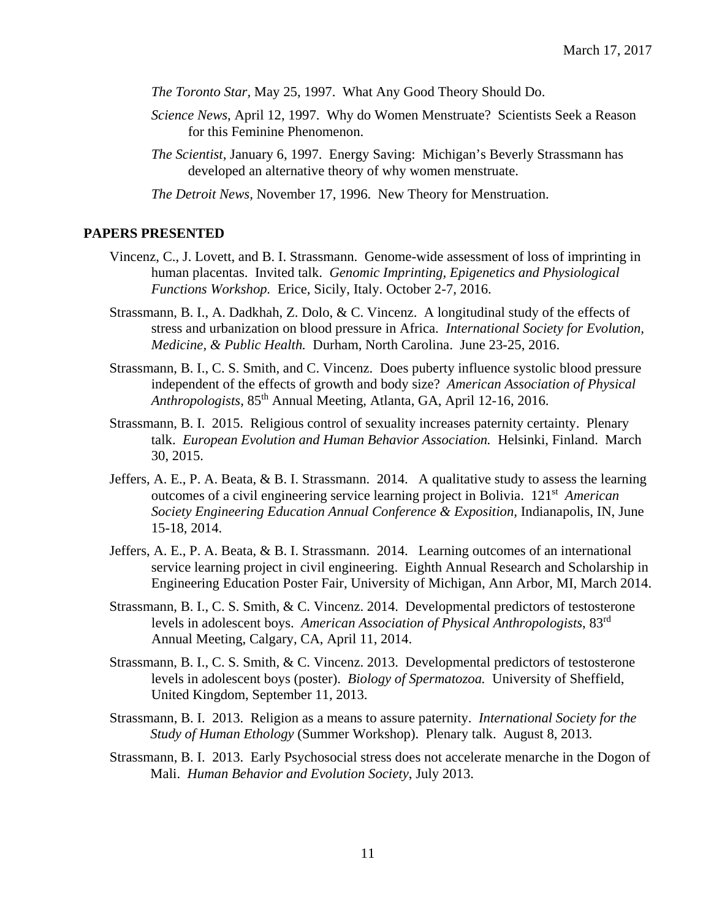*The Toronto Star,* May 25, 1997. What Any Good Theory Should Do.

- *Science News*, April 12, 1997. Why do Women Menstruate? Scientists Seek a Reason for this Feminine Phenomenon.
- *The Scientist*, January 6, 1997. Energy Saving: Michigan's Beverly Strassmann has developed an alternative theory of why women menstruate.

*The Detroit News,* November 17, 1996. New Theory for Menstruation.

#### **PAPERS PRESENTED**

- Vincenz, C., J. Lovett, and B. I. Strassmann. Genome-wide assessment of loss of imprinting in human placentas. Invited talk. *Genomic Imprinting, Epigenetics and Physiological Functions Workshop.* Erice, Sicily, Italy. October 2-7, 2016.
- Strassmann, B. I., A. Dadkhah, Z. Dolo, & C. Vincenz. A longitudinal study of the effects of stress and urbanization on blood pressure in Africa. *International Society for Evolution, Medicine, & Public Health.* Durham, North Carolina. June 23-25, 2016.
- Strassmann, B. I., C. S. Smith, and C. Vincenz. Does puberty influence systolic blood pressure independent of the effects of growth and body size? *American Association of Physical Anthropologists*, 85th Annual Meeting, Atlanta, GA, April 12-16, 2016.
- Strassmann, B. I. 2015. Religious control of sexuality increases paternity certainty. Plenary talk. *European Evolution and Human Behavior Association.* Helsinki, Finland. March 30, 2015.
- Jeffers, A. E., P. A. Beata, & B. I. Strassmann. 2014. A qualitative study to assess the learning outcomes of a civil engineering service learning project in Bolivia. 121st *American Society Engineering Education Annual Conference & Exposition, Indianapolis, IN, June* 15-18, 2014.
- Jeffers, A. E., P. A. Beata, & B. I. Strassmann. 2014. Learning outcomes of an international service learning project in civil engineering. Eighth Annual Research and Scholarship in Engineering Education Poster Fair, University of Michigan, Ann Arbor, MI, March 2014.
- Strassmann, B. I., C. S. Smith, & C. Vincenz. 2014. Developmental predictors of testosterone levels in adolescent boys. *American Association of Physical Anthropologists*, 83rd Annual Meeting, Calgary, CA, April 11, 2014.
- Strassmann, B. I., C. S. Smith, & C. Vincenz. 2013. Developmental predictors of testosterone levels in adolescent boys (poster). *Biology of Spermatozoa.* University of Sheffield, United Kingdom, September 11, 2013.
- Strassmann, B. I. 2013. Religion as a means to assure paternity. *International Society for the Study of Human Ethology* (Summer Workshop). Plenary talk. August 8, 2013.
- Strassmann, B. I. 2013. Early Psychosocial stress does not accelerate menarche in the Dogon of Mali.*Human Behavior and Evolution Society*, July 2013.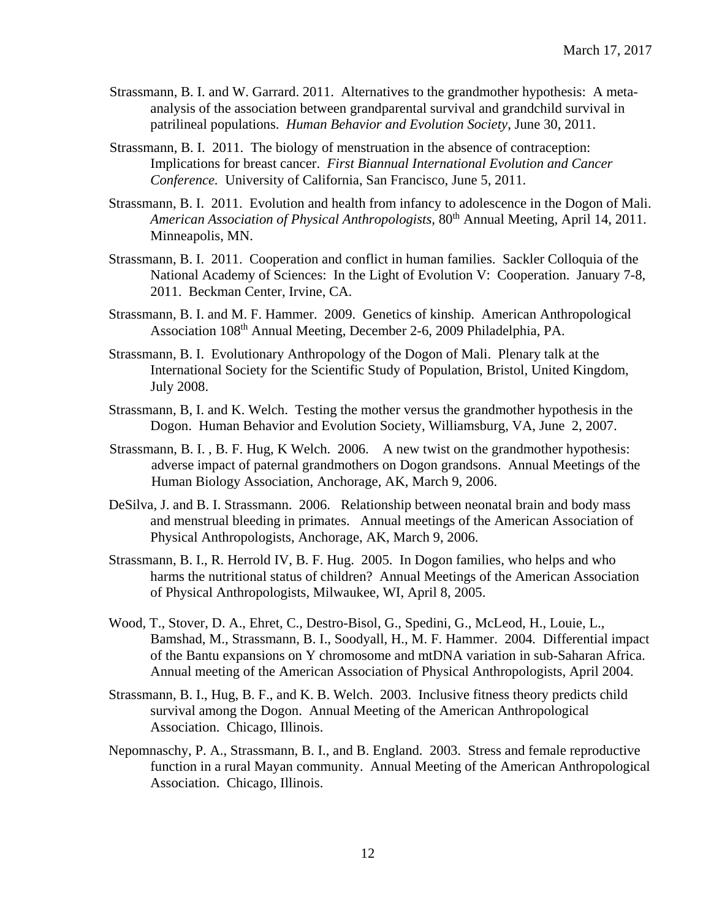- Strassmann, B. I. and W. Garrard. 2011. Alternatives to the grandmother hypothesis: A metaanalysis of the association between grandparental survival and grandchild survival in patrilineal populations. *Human Behavior and Evolution Society*, June 30, 2011.
- Strassmann, B. I. 2011. The biology of menstruation in the absence of contraception: Implications for breast cancer. *First Biannual International Evolution and Cancer Conference.* University of California, San Francisco, June 5, 2011.
- Strassmann, B. I. 2011. Evolution and health from infancy to adolescence in the Dogon of Mali. *American Association of Physical Anthropologists,* 80th Annual Meeting*,* April 14, 2011. Minneapolis, MN.
- Strassmann, B. I. 2011. Cooperation and conflict in human families. Sackler Colloquia of the National Academy of Sciences: In the Light of Evolution V: Cooperation. January 7-8, 2011. Beckman Center, Irvine, CA.
- Strassmann, B. I. and M. F. Hammer. 2009. Genetics of kinship. American Anthropological Association 108<sup>th</sup> Annual Meeting, December 2-6, 2009 Philadelphia, PA.
- Strassmann, B. I. Evolutionary Anthropology of the Dogon of Mali. Plenary talk at the International Society for the Scientific Study of Population, Bristol, United Kingdom, July 2008.
- Strassmann, B, I. and K. Welch. Testing the mother versus the grandmother hypothesis in the Dogon. Human Behavior and Evolution Society, Williamsburg, VA, June 2, 2007.
- Strassmann, B. I. , B. F. Hug, K Welch. 2006. A new twist on the grandmother hypothesis: adverse impact of paternal grandmothers on Dogon grandsons. Annual Meetings of the Human Biology Association, Anchorage, AK, March 9, 2006.
- DeSilva, J. and B. I. Strassmann. 2006. Relationship between neonatal brain and body mass and menstrual bleeding in primates. Annual meetings of the American Association of Physical Anthropologists, Anchorage, AK, March 9, 2006.
- Strassmann, B. I., R. Herrold IV, B. F. Hug. 2005. In Dogon families, who helps and who harms the nutritional status of children? Annual Meetings of the American Association of Physical Anthropologists, Milwaukee, WI, April 8, 2005.
- Wood, T., Stover, D. A., Ehret, C., Destro-Bisol, G., Spedini, G., McLeod, H., Louie, L., Bamshad, M., Strassmann, B. I., Soodyall, H., M. F. Hammer. 2004*.* Differential impact of the Bantu expansions on Y chromosome and mtDNA variation in sub-Saharan Africa. Annual meeting of the American Association of Physical Anthropologists, April 2004.
- Strassmann, B. I., Hug, B. F., and K. B. Welch. 2003. Inclusive fitness theory predicts child survival among the Dogon. Annual Meeting of the American Anthropological Association. Chicago, Illinois.
- Nepomnaschy, P. A., Strassmann, B. I., and B. England. 2003. Stress and female reproductive function in a rural Mayan community. Annual Meeting of the American Anthropological Association. Chicago, Illinois.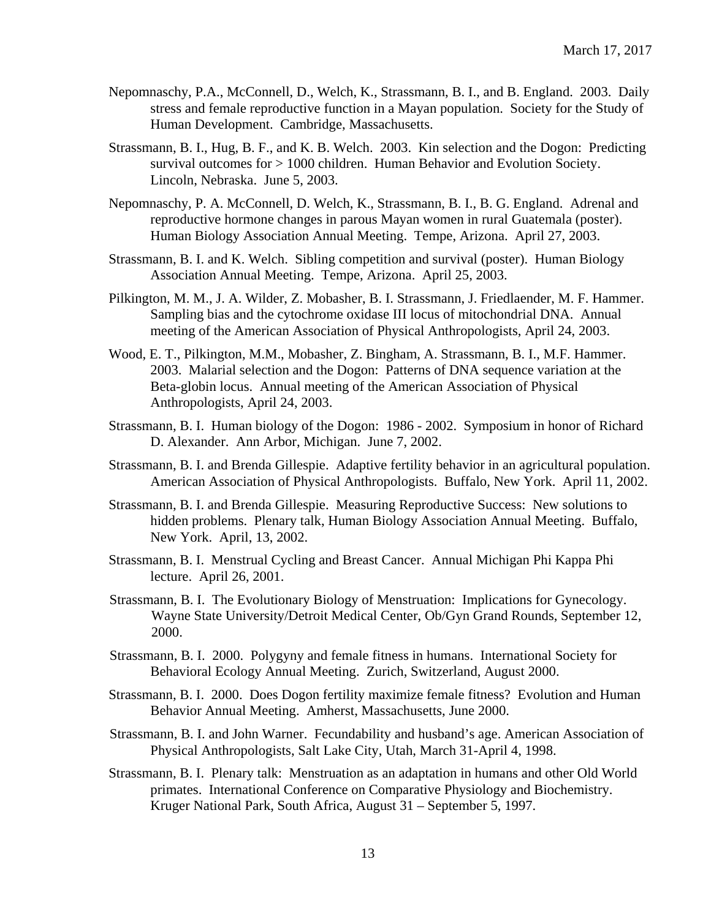- Nepomnaschy, P.A., McConnell, D., Welch, K., Strassmann, B. I., and B. England. 2003. Daily stress and female reproductive function in a Mayan population. Society for the Study of Human Development. Cambridge, Massachusetts.
- Strassmann, B. I., Hug, B. F., and K. B. Welch. 2003. Kin selection and the Dogon: Predicting survival outcomes for > 1000 children. Human Behavior and Evolution Society. Lincoln, Nebraska. June 5, 2003.
- Nepomnaschy, P. A. McConnell, D. Welch, K., Strassmann, B. I., B. G. England. Adrenal and reproductive hormone changes in parous Mayan women in rural Guatemala (poster). Human Biology Association Annual Meeting. Tempe, Arizona. April 27, 2003.
- Strassmann, B. I. and K. Welch. Sibling competition and survival (poster). Human Biology Association Annual Meeting. Tempe, Arizona. April 25, 2003.
- Pilkington, M. M., J. A. Wilder, Z. Mobasher, B. I. Strassmann, J. Friedlaender, M. F. Hammer. Sampling bias and the cytochrome oxidase III locus of mitochondrial DNA. Annual meeting of the American Association of Physical Anthropologists, April 24, 2003.
- Wood, E. T., Pilkington, M.M., Mobasher, Z. Bingham, A. Strassmann, B. I., M.F. Hammer. 2003. Malarial selection and the Dogon: Patterns of DNA sequence variation at the Beta-globin locus. Annual meeting of the American Association of Physical Anthropologists, April 24, 2003.
- Strassmann, B. I. Human biology of the Dogon: 1986 2002. Symposium in honor of Richard D. Alexander. Ann Arbor, Michigan. June 7, 2002.
- Strassmann, B. I. and Brenda Gillespie. Adaptive fertility behavior in an agricultural population. American Association of Physical Anthropologists. Buffalo, New York. April 11, 2002.
- Strassmann, B. I. and Brenda Gillespie. Measuring Reproductive Success: New solutions to hidden problems. Plenary talk, Human Biology Association Annual Meeting. Buffalo, New York. April, 13, 2002.
- Strassmann, B. I. Menstrual Cycling and Breast Cancer. Annual Michigan Phi Kappa Phi lecture. April 26, 2001.
- Strassmann, B. I. The Evolutionary Biology of Menstruation: Implications for Gynecology. Wayne State University/Detroit Medical Center, Ob/Gyn Grand Rounds, September 12, 2000.
- Strassmann, B. I. 2000. Polygyny and female fitness in humans. International Society for Behavioral Ecology Annual Meeting. Zurich, Switzerland, August 2000.
- Strassmann, B. I. 2000. Does Dogon fertility maximize female fitness? Evolution and Human Behavior Annual Meeting. Amherst, Massachusetts, June 2000.
- Strassmann, B. I. and John Warner. Fecundability and husband's age. American Association of Physical Anthropologists, Salt Lake City, Utah, March 31-April 4, 1998.
- Strassmann, B. I. Plenary talk: Menstruation as an adaptation in humans and other Old World primates. International Conference on Comparative Physiology and Biochemistry. Kruger National Park, South Africa, August 31 – September 5, 1997.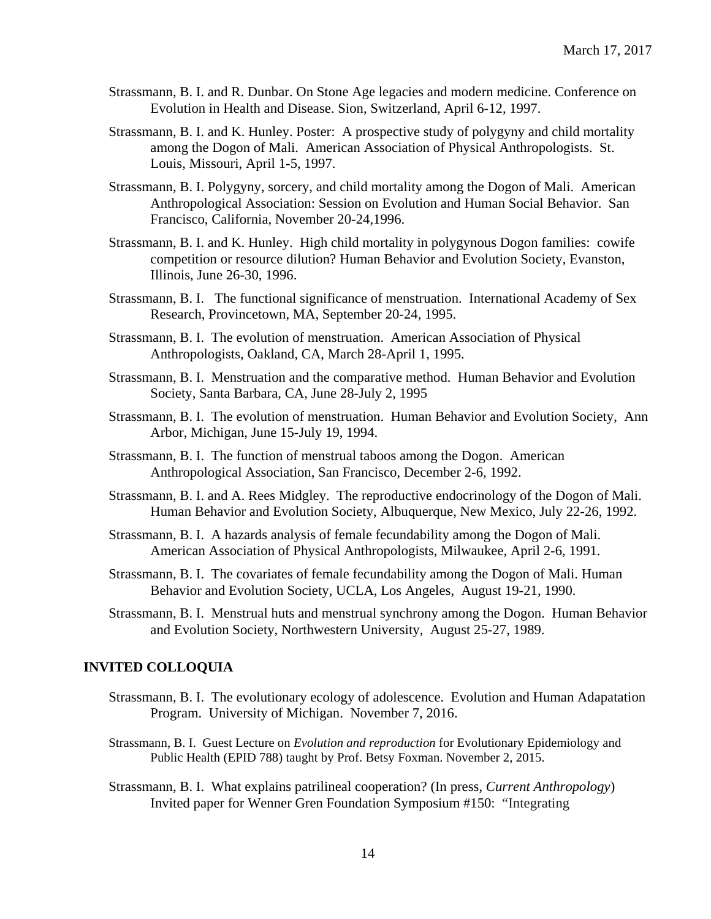- Strassmann, B. I. and R. Dunbar. On Stone Age legacies and modern medicine. Conference on Evolution in Health and Disease. Sion, Switzerland, April 6-12, 1997.
- Strassmann, B. I. and K. Hunley. Poster: A prospective study of polygyny and child mortality among the Dogon of Mali. American Association of Physical Anthropologists. St. Louis, Missouri, April 1-5, 1997.
- Strassmann, B. I. Polygyny, sorcery, and child mortality among the Dogon of Mali. American Anthropological Association: Session on Evolution and Human Social Behavior. San Francisco, California, November 20-24,1996.
- Strassmann, B. I. and K. Hunley. High child mortality in polygynous Dogon families: cowife competition or resource dilution? Human Behavior and Evolution Society, Evanston, Illinois, June 26-30, 1996.
- Strassmann, B. I. The functional significance of menstruation. International Academy of Sex Research, Provincetown, MA, September 20-24, 1995.
- Strassmann, B. I. The evolution of menstruation. American Association of Physical Anthropologists, Oakland, CA, March 28-April 1, 1995.
- Strassmann, B. I. Menstruation and the comparative method. Human Behavior and Evolution Society, Santa Barbara, CA, June 28-July 2, 1995
- Strassmann, B. I. The evolution of menstruation. Human Behavior and Evolution Society, Ann Arbor, Michigan, June 15-July 19, 1994.
- Strassmann, B. I. The function of menstrual taboos among the Dogon. American Anthropological Association, San Francisco, December 2-6, 1992.
- Strassmann, B. I. and A. Rees Midgley. The reproductive endocrinology of the Dogon of Mali. Human Behavior and Evolution Society, Albuquerque, New Mexico, July 22-26, 1992.
- Strassmann, B. I. A hazards analysis of female fecundability among the Dogon of Mali. American Association of Physical Anthropologists, Milwaukee, April 2-6, 1991.
- Strassmann, B. I. The covariates of female fecundability among the Dogon of Mali. Human Behavior and Evolution Society, UCLA, Los Angeles, August 19-21, 1990.
- Strassmann, B. I. Menstrual huts and menstrual synchrony among the Dogon. Human Behavior and Evolution Society, Northwestern University, August 25-27, 1989.

## **INVITED COLLOQUIA**

- Strassmann, B. I. The evolutionary ecology of adolescence. Evolution and Human Adapatation Program. University of Michigan. November 7, 2016.
- Strassmann, B. I. Guest Lecture on *Evolution and reproduction* for Evolutionary Epidemiology and Public Health (EPID 788) taught by Prof. Betsy Foxman. November 2, 2015.
- Strassmann, B. I. What explains patrilineal cooperation? (In press, *Current Anthropology*) Invited paper for Wenner Gren Foundation Symposium #150: "Integrating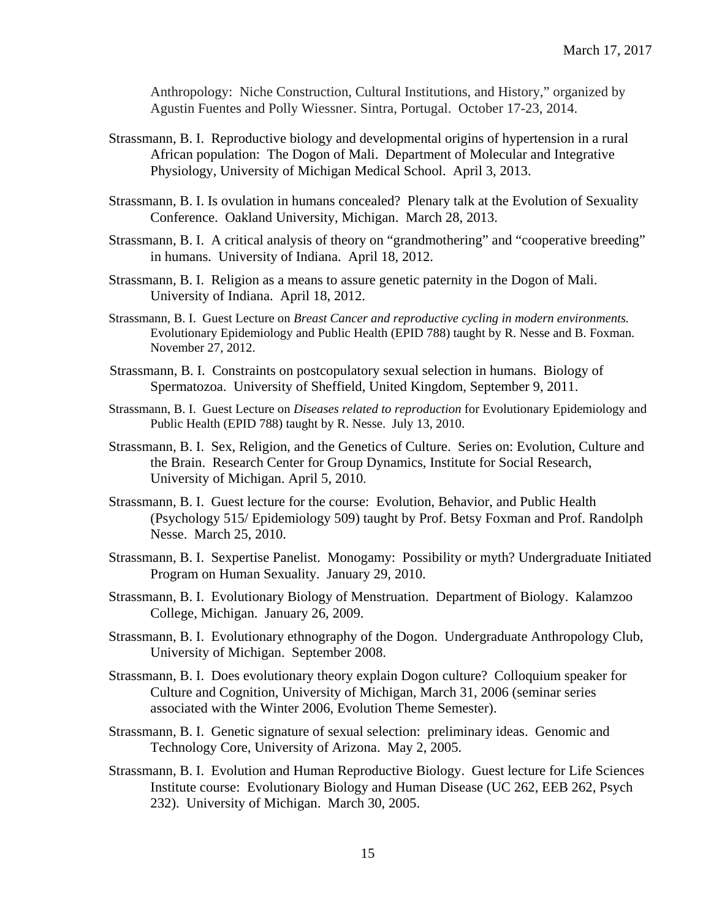Anthropology: Niche Construction, Cultural Institutions, and History," organized by Agustin Fuentes and Polly Wiessner. Sintra, Portugal. October 17-23, 2014.

- Strassmann, B. I. Reproductive biology and developmental origins of hypertension in a rural African population: The Dogon of Mali. Department of Molecular and Integrative Physiology, University of Michigan Medical School. April 3, 2013.
- Strassmann, B. I. Is ovulation in humans concealed? Plenary talk at the Evolution of Sexuality Conference. Oakland University, Michigan. March 28, 2013.
- Strassmann, B. I. A critical analysis of theory on "grandmothering" and "cooperative breeding" in humans. University of Indiana. April 18, 2012.
- Strassmann, B. I. Religion as a means to assure genetic paternity in the Dogon of Mali. University of Indiana. April 18, 2012.
- Strassmann, B. I. Guest Lecture on *Breast Cancer and reproductive cycling in modern environments.* Evolutionary Epidemiology and Public Health (EPID 788) taught by R. Nesse and B. Foxman. November 27, 2012.
- Strassmann, B. I. Constraints on postcopulatory sexual selection in humans. Biology of Spermatozoa. University of Sheffield, United Kingdom, September 9, 2011.
- Strassmann, B. I. Guest Lecture on *Diseases related to reproduction* for Evolutionary Epidemiology and Public Health (EPID 788) taught by R. Nesse. July 13, 2010.
- Strassmann, B. I. Sex, Religion, and the Genetics of Culture. Series on: Evolution, Culture and the Brain. Research Center for Group Dynamics, Institute for Social Research, University of Michigan. April 5, 2010.
- Strassmann, B. I. Guest lecture for the course: Evolution, Behavior, and Public Health (Psychology 515/ Epidemiology 509) taught by Prof. Betsy Foxman and Prof. Randolph Nesse. March 25, 2010.
- Strassmann, B. I. Sexpertise Panelist. Monogamy: Possibility or myth? Undergraduate Initiated Program on Human Sexuality. January 29, 2010.
- Strassmann, B. I. Evolutionary Biology of Menstruation. Department of Biology. Kalamzoo College, Michigan. January 26, 2009.
- Strassmann, B. I. Evolutionary ethnography of the Dogon. Undergraduate Anthropology Club, University of Michigan. September 2008.
- Strassmann, B. I. Does evolutionary theory explain Dogon culture? Colloquium speaker for Culture and Cognition, University of Michigan, March 31, 2006 (seminar series associated with the Winter 2006, Evolution Theme Semester).
- Strassmann, B. I. Genetic signature of sexual selection: preliminary ideas. Genomic and Technology Core, University of Arizona. May 2, 2005.
- Strassmann, B. I. Evolution and Human Reproductive Biology. Guest lecture for Life Sciences Institute course: Evolutionary Biology and Human Disease (UC 262, EEB 262, Psych 232). University of Michigan. March 30, 2005.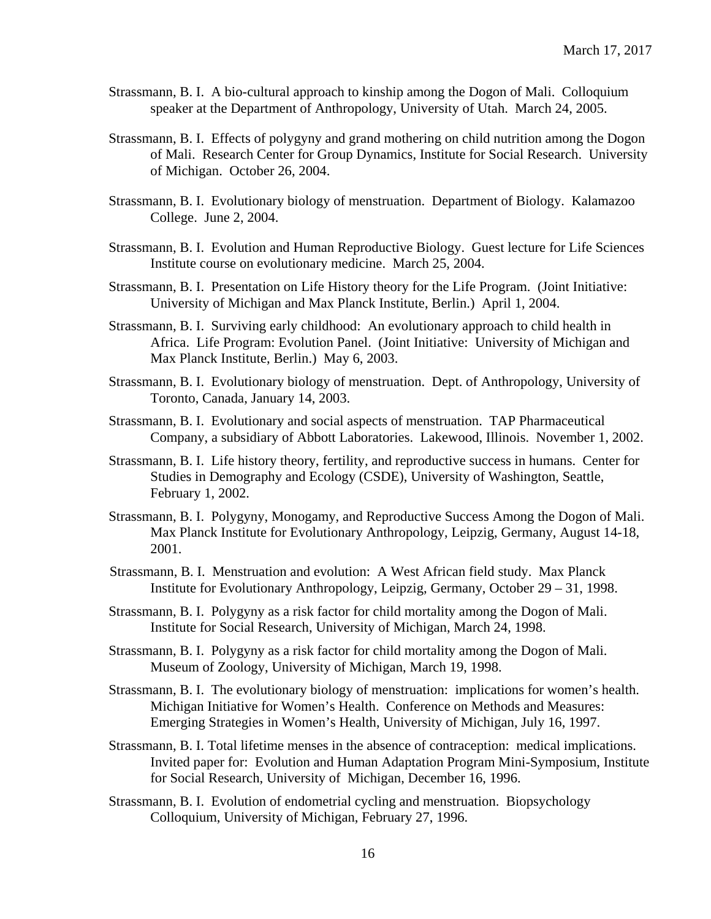- Strassmann, B. I. A bio-cultural approach to kinship among the Dogon of Mali. Colloquium speaker at the Department of Anthropology, University of Utah. March 24, 2005.
- Strassmann, B. I. Effects of polygyny and grand mothering on child nutrition among the Dogon of Mali. Research Center for Group Dynamics, Institute for Social Research. University of Michigan. October 26, 2004.
- Strassmann, B. I. Evolutionary biology of menstruation. Department of Biology. Kalamazoo College. June 2, 2004.
- Strassmann, B. I. Evolution and Human Reproductive Biology. Guest lecture for Life Sciences Institute course on evolutionary medicine. March 25, 2004.
- Strassmann, B. I. Presentation on Life History theory for the Life Program. (Joint Initiative: University of Michigan and Max Planck Institute, Berlin.) April 1, 2004.
- Strassmann, B. I. Surviving early childhood: An evolutionary approach to child health in Africa. Life Program: Evolution Panel. (Joint Initiative: University of Michigan and Max Planck Institute, Berlin.) May 6, 2003.
- Strassmann, B. I. Evolutionary biology of menstruation. Dept. of Anthropology, University of Toronto, Canada, January 14, 2003.
- Strassmann, B. I. Evolutionary and social aspects of menstruation. TAP Pharmaceutical Company, a subsidiary of Abbott Laboratories. Lakewood, Illinois. November 1, 2002.
- Strassmann, B. I. Life history theory, fertility, and reproductive success in humans. Center for Studies in Demography and Ecology (CSDE), University of Washington, Seattle, February 1, 2002.
- Strassmann, B. I. Polygyny, Monogamy, and Reproductive Success Among the Dogon of Mali. Max Planck Institute for Evolutionary Anthropology, Leipzig, Germany, August 14-18, 2001.
- Strassmann, B. I. Menstruation and evolution: A West African field study. Max Planck Institute for Evolutionary Anthropology, Leipzig, Germany, October 29 – 31, 1998.
- Strassmann, B. I. Polygyny as a risk factor for child mortality among the Dogon of Mali. Institute for Social Research, University of Michigan, March 24, 1998.
- Strassmann, B. I. Polygyny as a risk factor for child mortality among the Dogon of Mali. Museum of Zoology, University of Michigan, March 19, 1998.
- Strassmann, B. I. The evolutionary biology of menstruation: implications for women's health. Michigan Initiative for Women's Health. Conference on Methods and Measures: Emerging Strategies in Women's Health, University of Michigan, July 16, 1997.
- Strassmann, B. I. Total lifetime menses in the absence of contraception: medical implications. Invited paper for: Evolution and Human Adaptation Program Mini-Symposium, Institute for Social Research, University of Michigan, December 16, 1996.
- Strassmann, B. I. Evolution of endometrial cycling and menstruation. Biopsychology Colloquium, University of Michigan, February 27, 1996.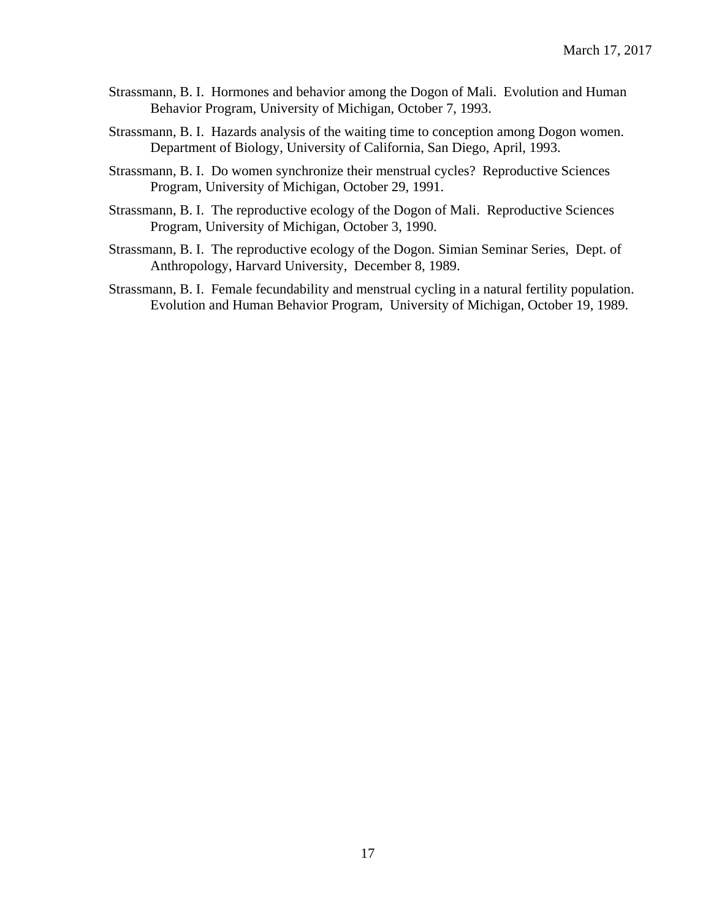- Strassmann, B. I. Hormones and behavior among the Dogon of Mali. Evolution and Human Behavior Program, University of Michigan, October 7, 1993.
- Strassmann, B. I. Hazards analysis of the waiting time to conception among Dogon women. Department of Biology, University of California, San Diego, April, 1993.
- Strassmann, B. I. Do women synchronize their menstrual cycles? Reproductive Sciences Program, University of Michigan, October 29, 1991.
- Strassmann, B. I. The reproductive ecology of the Dogon of Mali. Reproductive Sciences Program, University of Michigan, October 3, 1990.
- Strassmann, B. I. The reproductive ecology of the Dogon. Simian Seminar Series, Dept. of Anthropology, Harvard University, December 8, 1989.
- Strassmann, B. I. Female fecundability and menstrual cycling in a natural fertility population. Evolution and Human Behavior Program, University of Michigan, October 19, 1989.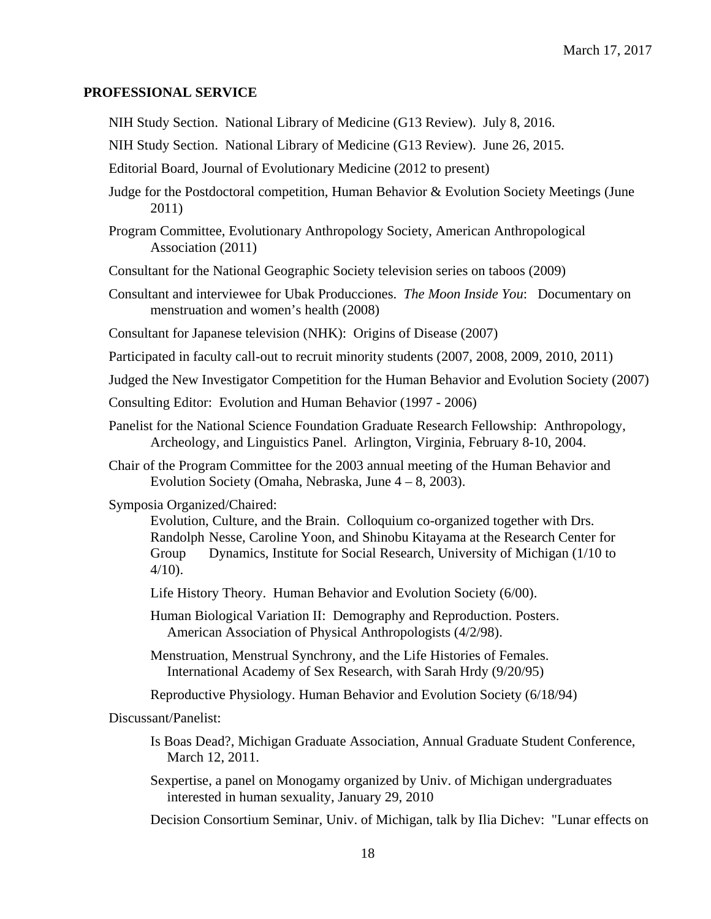#### **PROFESSIONAL SERVICE**

NIH Study Section. National Library of Medicine (G13 Review). July 8, 2016.

NIH Study Section. National Library of Medicine (G13 Review). June 26, 2015.

Editorial Board, Journal of Evolutionary Medicine (2012 to present)

Judge for the Postdoctoral competition, Human Behavior & Evolution Society Meetings (June 2011)

Program Committee, Evolutionary Anthropology Society, American Anthropological Association (2011)

Consultant for the National Geographic Society television series on taboos (2009)

Consultant and interviewee for Ubak Producciones. *The Moon Inside You*: Documentary on menstruation and women's health (2008)

Consultant for Japanese television (NHK): Origins of Disease (2007)

Participated in faculty call-out to recruit minority students (2007, 2008, 2009, 2010, 2011)

Judged the New Investigator Competition for the Human Behavior and Evolution Society (2007)

Consulting Editor: Evolution and Human Behavior (1997 - 2006)

Panelist for the National Science Foundation Graduate Research Fellowship: Anthropology, Archeology, and Linguistics Panel. Arlington, Virginia, February 8-10, 2004.

Chair of the Program Committee for the 2003 annual meeting of the Human Behavior and Evolution Society (Omaha, Nebraska, June 4 – 8, 2003).

Symposia Organized/Chaired:

Evolution, Culture, and the Brain. Colloquium co-organized together with Drs. Randolph Nesse, Caroline Yoon, and Shinobu Kitayama at the Research Center for Group Dynamics, Institute for Social Research, University of Michigan (1/10 to 4/10).

Life History Theory. Human Behavior and Evolution Society (6/00).

Human Biological Variation II: Demography and Reproduction. Posters. American Association of Physical Anthropologists (4/2/98).

Menstruation, Menstrual Synchrony, and the Life Histories of Females. International Academy of Sex Research, with Sarah Hrdy (9/20/95)

Reproductive Physiology. Human Behavior and Evolution Society (6/18/94)

Discussant/Panelist:

- Is Boas Dead?, Michigan Graduate Association, Annual Graduate Student Conference, March 12, 2011.
- Sexpertise, a panel on Monogamy organized by Univ. of Michigan undergraduates interested in human sexuality, January 29, 2010

Decision Consortium Seminar, Univ. of Michigan, talk by Ilia Dichev: "Lunar effects on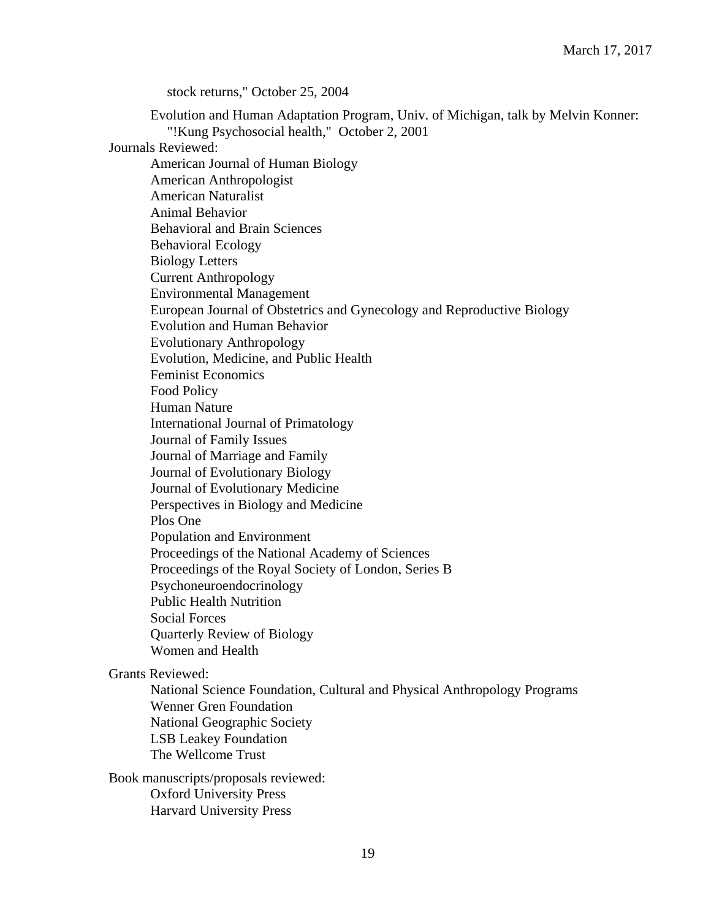stock returns," October 25, 2004

Evolution and Human Adaptation Program, Univ. of Michigan, talk by Melvin Konner: "!Kung Psychosocial health," October 2, 2001 Journals Reviewed: American Journal of Human Biology American Anthropologist American Naturalist Animal Behavior Behavioral and Brain Sciences Behavioral Ecology Biology Letters Current Anthropology Environmental Management European Journal of Obstetrics and Gynecology and Reproductive Biology Evolution and Human Behavior Evolutionary Anthropology Evolution, Medicine, and Public Health Feminist Economics Food Policy Human Nature International Journal of Primatology Journal of Family Issues Journal of Marriage and Family Journal of Evolutionary Biology Journal of Evolutionary Medicine Perspectives in Biology and Medicine Plos One Population and Environment Proceedings of the National Academy of Sciences Proceedings of the Royal Society of London, Series B Psychoneuroendocrinology Public Health Nutrition Social Forces Quarterly Review of Biology Women and Health Grants Reviewed: National Science Foundation, Cultural and Physical Anthropology Programs Wenner Gren Foundation National Geographic Society LSB Leakey Foundation The Wellcome Trust Book manuscripts/proposals reviewed: Oxford University Press Harvard University Press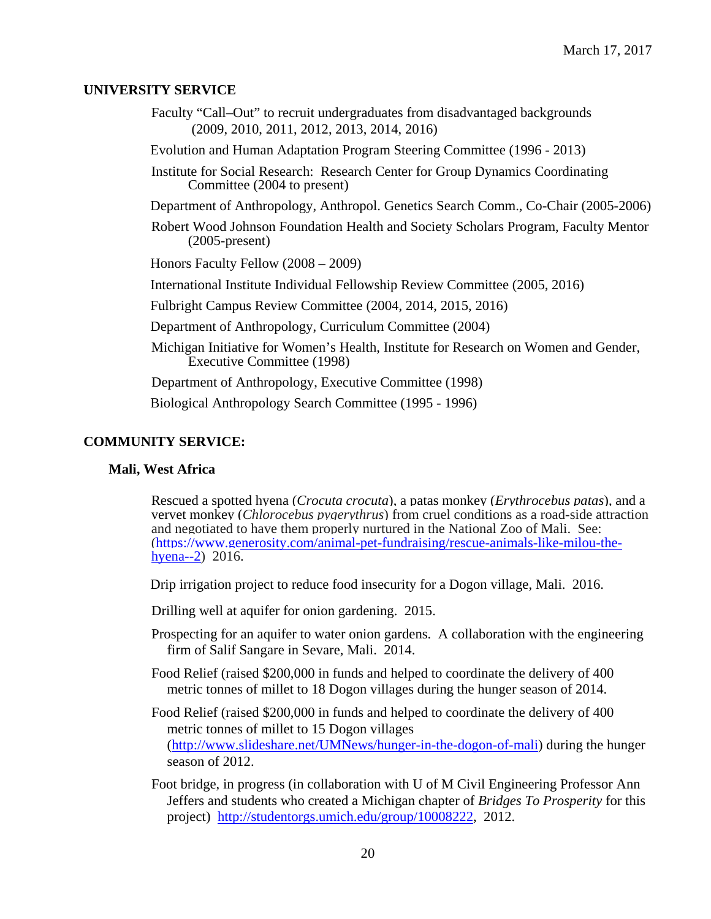#### **UNIVERSITY SERVICE**

- Faculty "Call–Out" to recruit undergraduates from disadvantaged backgrounds (2009, 2010, 2011, 2012, 2013, 2014, 2016)
- Evolution and Human Adaptation Program Steering Committee (1996 2013)
- Institute for Social Research: Research Center for Group Dynamics Coordinating Committee (2004 to present)
- Department of Anthropology, Anthropol. Genetics Search Comm., Co-Chair (2005-2006)
- Robert Wood Johnson Foundation Health and Society Scholars Program, Faculty Mentor (2005-present)
- Honors Faculty Fellow (2008 2009)
- International Institute Individual Fellowship Review Committee (2005, 2016)
- Fulbright Campus Review Committee (2004, 2014, 2015, 2016)
- Department of Anthropology, Curriculum Committee (2004)
- Michigan Initiative for Women's Health, Institute for Research on Women and Gender, Executive Committee (1998)

Department of Anthropology, Executive Committee (1998)

Biological Anthropology Search Committee (1995 - 1996)

#### **COMMUNITY SERVICE:**

#### **Mali, West Africa**

Rescued a spotted hyena (*Crocuta crocuta*), a patas monkey (*Erythrocebus patas*), and a vervet monkey (*Chlorocebus pygerythrus*) from cruel conditions as a road-side attraction and negotiated to have them properly nurtured in the National Zoo of Mali. See: [\(https://www.generosity.com/animal-pet-fundraising/rescue-animals-like-milou-the](https://www.generosity.com/animal-pet-fundraising/rescue-animals-like-milou-the-hyena--2)[hyena--2\)](https://www.generosity.com/animal-pet-fundraising/rescue-animals-like-milou-the-hyena--2) 2016.

Drip irrigation project to reduce food insecurity for a Dogon village, Mali. 2016.

Drilling well at aquifer for onion gardening. 2015.

- Prospecting for an aquifer to water onion gardens. A collaboration with the engineering firm of Salif Sangare in Sevare, Mali. 2014.
- Food Relief (raised \$200,000 in funds and helped to coordinate the delivery of 400 metric tonnes of millet to 18 Dogon villages during the hunger season of 2014.
- Food Relief (raised \$200,000 in funds and helped to coordinate the delivery of 400 metric tonnes of millet to 15 Dogon villages [\(http://www.slideshare.net/UMNews/hunger-in-the-dogon-of-mali\)](http://www.slideshare.net/UMNews/hunger-in-the-dogon-of-mali) during the hunger season of 2012.
- Foot bridge, in progress (in collaboration with U of M Civil Engineering Professor Ann Jeffers and students who created a Michigan chapter of *Bridges To Prosperity* for this project) [http://studentorgs.umich.edu/group/10008222,](http://studentorgs.umich.edu/group/10008222) 2012.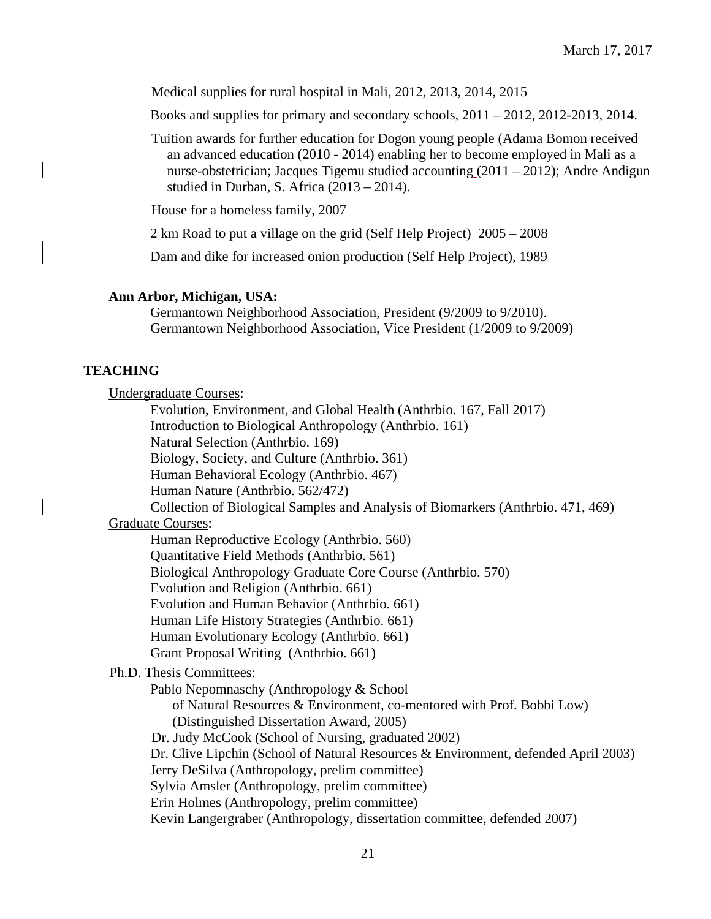Medical supplies for rural hospital in Mali, 2012, 2013, 2014, 2015

Books and supplies for primary and secondary schools, 2011 – 2012, 2012-2013, 2014.

Tuition awards for further education for Dogon young people (Adama Bomon received an advanced education (2010 - 2014) enabling her to become employed in Mali as a nurse-obstetrician; Jacques Tigemu studied accounting (2011 – 2012); Andre Andigun studied in Durban, S. Africa (2013 – 2014).

House for a homeless family, 2007

2 km Road to put a village on the grid (Self Help Project) 2005 – 2008

Dam and dike for increased onion production (Self Help Project), 1989

## **Ann Arbor, Michigan, USA:**

Germantown Neighborhood Association, President (9/2009 to 9/2010). Germantown Neighborhood Association, Vice President (1/2009 to 9/2009)

## **TEACHING**

Undergraduate Courses:

Evolution, Environment, and Global Health (Anthrbio. 167, Fall 2017) Introduction to Biological Anthropology (Anthrbio. 161) Natural Selection (Anthrbio. 169) Biology, Society, and Culture (Anthrbio. 361) Human Behavioral Ecology (Anthrbio. 467)

Human Nature (Anthrbio. 562/472)

Collection of Biological Samples and Analysis of Biomarkers (Anthrbio. 471, 469)

## Graduate Courses:

Human Reproductive Ecology (Anthrbio. 560)

Quantitative Field Methods (Anthrbio. 561)

Biological Anthropology Graduate Core Course (Anthrbio. 570)

Evolution and Religion (Anthrbio. 661)

Evolution and Human Behavior (Anthrbio. 661)

Human Life History Strategies (Anthrbio. 661)

Human Evolutionary Ecology (Anthrbio. 661)

Grant Proposal Writing (Anthrbio. 661)

Ph.D. Thesis Committees:

Pablo Nepomnaschy (Anthropology & School of Natural Resources & Environment, co-mentored with Prof. Bobbi Low) (Distinguished Dissertation Award, 2005) Dr. Judy McCook (School of Nursing, graduated 2002)

Dr. Clive Lipchin (School of Natural Resources & Environment, defended April 2003)

Jerry DeSilva (Anthropology, prelim committee)

Sylvia Amsler (Anthropology, prelim committee)

Erin Holmes (Anthropology, prelim committee)

Kevin Langergraber (Anthropology, dissertation committee, defended 2007)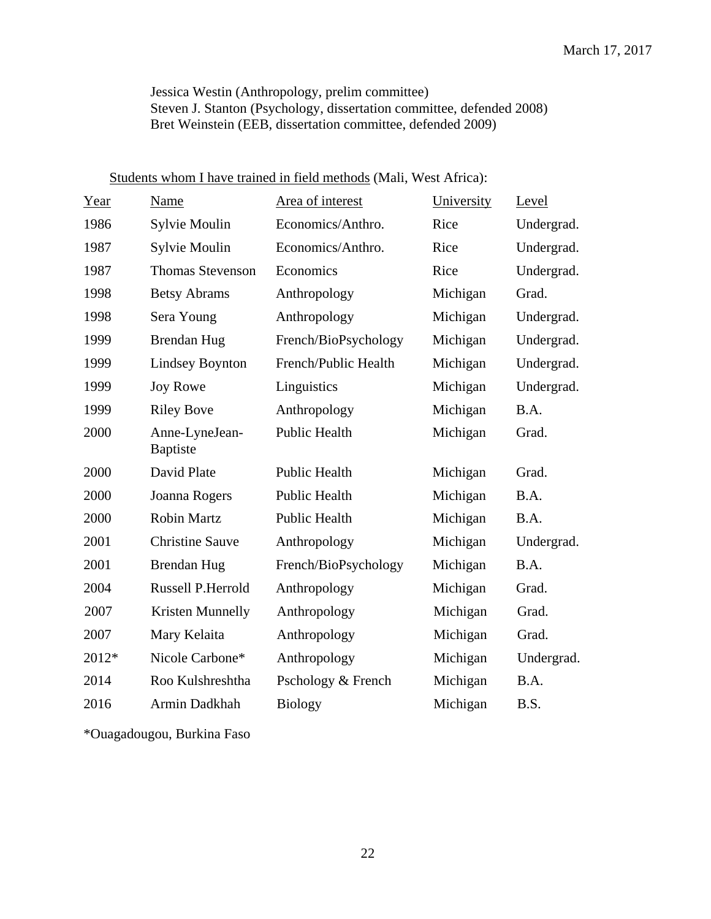Jessica Westin (Anthropology, prelim committee) Steven J. Stanton (Psychology, dissertation committee, defended 2008) Bret Weinstein (EEB, dissertation committee, defended 2009)

| Year  | Name                              | Area of interest     | University | Level      |
|-------|-----------------------------------|----------------------|------------|------------|
| 1986  | Sylvie Moulin                     | Economics/Anthro.    | Rice       | Undergrad. |
| 1987  | Sylvie Moulin                     | Economics/Anthro.    | Rice       | Undergrad. |
| 1987  | <b>Thomas Stevenson</b>           | Economics            | Rice       | Undergrad. |
| 1998  | <b>Betsy Abrams</b>               | Anthropology         | Michigan   | Grad.      |
| 1998  | Sera Young                        | Anthropology         | Michigan   | Undergrad. |
| 1999  | <b>Brendan Hug</b>                | French/BioPsychology | Michigan   | Undergrad. |
| 1999  | <b>Lindsey Boynton</b>            | French/Public Health | Michigan   | Undergrad. |
| 1999  | <b>Joy Rowe</b>                   | Linguistics          | Michigan   | Undergrad. |
| 1999  | <b>Riley Bove</b>                 | Anthropology         | Michigan   | B.A.       |
| 2000  | Anne-LyneJean-<br><b>Baptiste</b> | Public Health        | Michigan   | Grad.      |
| 2000  | David Plate                       | <b>Public Health</b> | Michigan   | Grad.      |
| 2000  | Joanna Rogers                     | Public Health        | Michigan   | B.A.       |
| 2000  | <b>Robin Martz</b>                | Public Health        | Michigan   | B.A.       |
| 2001  | <b>Christine Sauve</b>            | Anthropology         | Michigan   | Undergrad. |
| 2001  | <b>Brendan Hug</b>                | French/BioPsychology | Michigan   | B.A.       |
| 2004  | <b>Russell P.Herrold</b>          | Anthropology         | Michigan   | Grad.      |
| 2007  | Kristen Munnelly                  | Anthropology         | Michigan   | Grad.      |
| 2007  | Mary Kelaita                      | Anthropology         | Michigan   | Grad.      |
| 2012* | Nicole Carbone*                   | Anthropology         | Michigan   | Undergrad. |
| 2014  | Roo Kulshreshtha                  | Pschology & French   | Michigan   | B.A.       |
| 2016  | Armin Dadkhah                     | <b>Biology</b>       | Michigan   | B.S.       |

# Students whom I have trained in field methods (Mali, West Africa):

\*Ouagadougou, Burkina Faso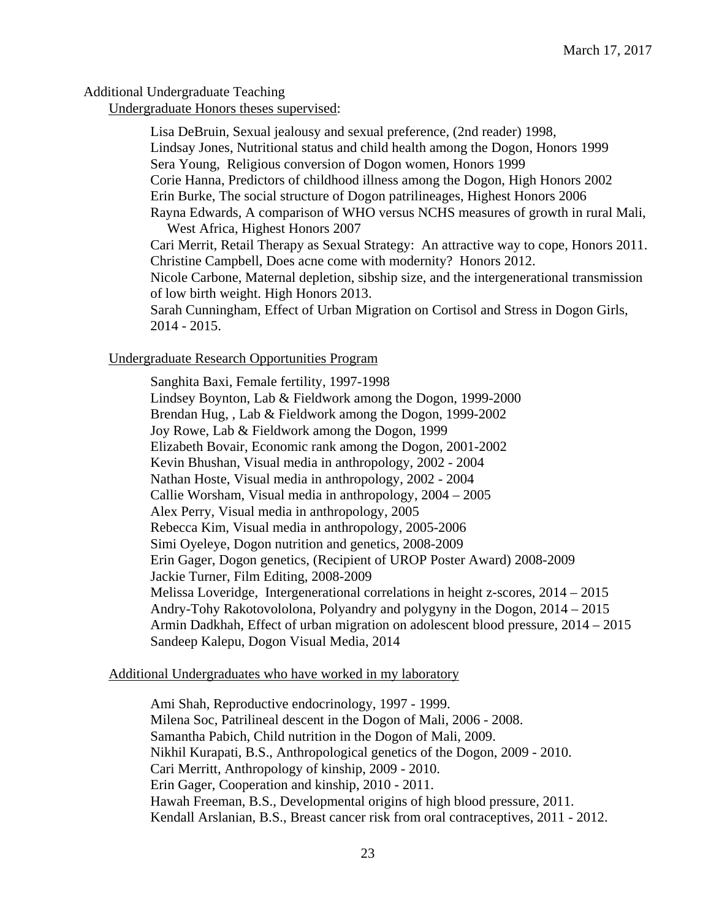## Additional Undergraduate Teaching

Undergraduate Honors theses supervised:

Lisa DeBruin, Sexual jealousy and sexual preference, (2nd reader) 1998, Lindsay Jones, Nutritional status and child health among the Dogon, Honors 1999 Sera Young, Religious conversion of Dogon women, Honors 1999 Corie Hanna, Predictors of childhood illness among the Dogon, High Honors 2002 Erin Burke, The social structure of Dogon patrilineages, Highest Honors 2006 Rayna Edwards, A comparison of WHO versus NCHS measures of growth in rural Mali, West Africa, Highest Honors 2007 Cari Merrit, Retail Therapy as Sexual Strategy: An attractive way to cope, Honors 2011. Christine Campbell, Does acne come with modernity? Honors 2012. Nicole Carbone, Maternal depletion, sibship size, and the intergenerational transmission of low birth weight. High Honors 2013. Sarah Cunningham, Effect of Urban Migration on Cortisol and Stress in Dogon Girls, 2014 - 2015.

## Undergraduate Research Opportunities Program

Sanghita Baxi, Female fertility, 1997-1998 Lindsey Boynton, Lab & Fieldwork among the Dogon, 1999-2000 Brendan Hug, , Lab & Fieldwork among the Dogon, 1999-2002 Joy Rowe, Lab & Fieldwork among the Dogon, 1999 Elizabeth Bovair, Economic rank among the Dogon, 2001-2002 Kevin Bhushan, Visual media in anthropology, 2002 - 2004 Nathan Hoste, Visual media in anthropology, 2002 - 2004 Callie Worsham, Visual media in anthropology, 2004 – 2005 Alex Perry, Visual media in anthropology, 2005 Rebecca Kim, Visual media in anthropology, 2005-2006 Simi Oyeleye, Dogon nutrition and genetics, 2008-2009 Erin Gager, Dogon genetics, (Recipient of UROP Poster Award) 2008-2009 Jackie Turner, Film Editing, 2008-2009 Melissa Loveridge, Intergenerational correlations in height z-scores, 2014 – 2015 Andry-Tohy Rakotovololona, Polyandry and polygyny in the Dogon, 2014 – 2015 Armin Dadkhah, Effect of urban migration on adolescent blood pressure, 2014 – 2015 Sandeep Kalepu, Dogon Visual Media, 2014

#### Additional Undergraduates who have worked in my laboratory

Ami Shah, Reproductive endocrinology, 1997 - 1999. Milena Soc, Patrilineal descent in the Dogon of Mali, 2006 - 2008. Samantha Pabich, Child nutrition in the Dogon of Mali, 2009. Nikhil Kurapati, B.S., Anthropological genetics of the Dogon, 2009 - 2010. Cari Merritt, Anthropology of kinship, 2009 - 2010. Erin Gager, Cooperation and kinship, 2010 - 2011. Hawah Freeman, B.S., Developmental origins of high blood pressure, 2011. Kendall Arslanian, B.S., Breast cancer risk from oral contraceptives, 2011 - 2012.